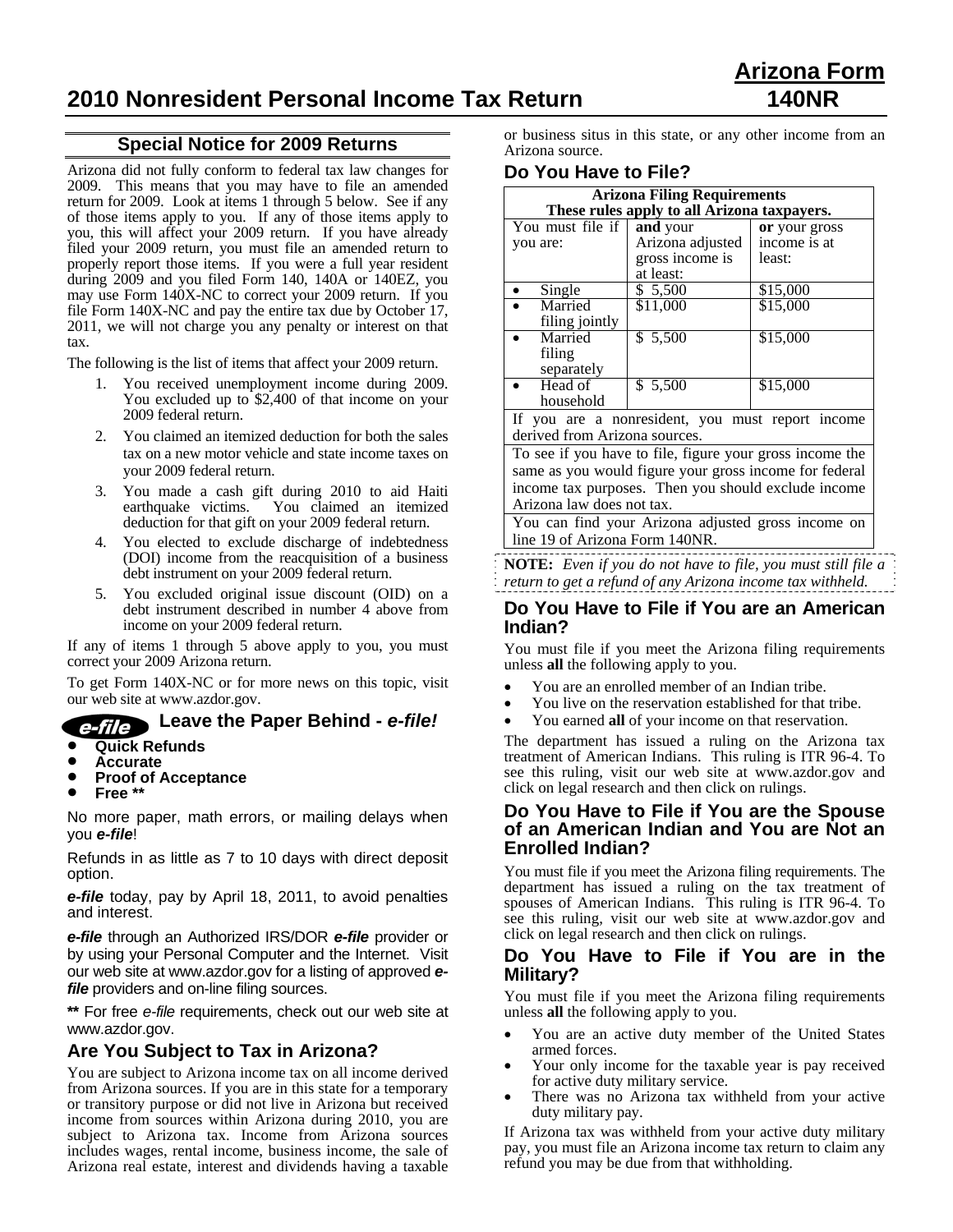### **Special Notice for 2009 Returns**

Arizona did not fully conform to federal tax law changes for 2009. This means that you may have to file an amended return for 2009. Look at items 1 through 5 below. See if any of those items apply to you. If any of those items apply to you, this will affect your 2009 return. If you have already filed your 2009 return, you must file an amended return to properly report those items. If you were a full year resident during 2009 and you filed Form 140, 140A or 140EZ, you may use Form 140X-NC to correct your 2009 return. If you file Form 140X-NC and pay the entire tax due by October 17, 2011, we will not charge you any penalty or interest on that tax.

The following is the list of items that affect your 2009 return.

- 1. You received unemployment income during 2009. You excluded up to \$2,400 of that income on your 2009 federal return.
- 2. You claimed an itemized deduction for both the sales tax on a new motor vehicle and state income taxes on your 2009 federal return.
- 3. You made a cash gift during 2010 to aid Haiti earthquake victims. You claimed an itemized deduction for that gift on your 2009 federal return.
- 4. You elected to exclude discharge of indebtedness (DOI) income from the reacquisition of a business debt instrument on your 2009 federal return.
- 5. You excluded original issue discount (OID) on a debt instrument described in number 4 above from income on your 2009 federal return.

If any of items 1 through 5 above apply to you, you must correct your 2009 Arizona return.

To get Form 140X-NC or for more news on this topic, visit our web site at www.azdor.gov.

## **Leave the Paper Behind -** *e-file!*

- **Quick Refunds**
- **Accurate**
- **Proof of Acceptance**<br>• Free \*\*
- **Free \*\***

No more paper, math errors, or mailing delays when you *e-file*!

Refunds in as little as 7 to 10 days with direct deposit option.

*e-file* today, pay by April 18, 2011, to avoid penalties and interest.

*e-file* through an Authorized IRS/DOR *e-file* provider or by using your Personal Computer and the Internet. Visit our web site at www.azdor.gov for a listing of approved *efile* providers and on-line filing sources.

**\*\*** For free *e-file* requirements, check out our web site at www.azdor.gov.

## **Are You Subject to Tax in Arizona?**

You are subject to Arizona income tax on all income derived from Arizona sources. If you are in this state for a temporary or transitory purpose or did not live in Arizona but received income from sources within Arizona during 2010, you are subject to Arizona tax. Income from Arizona sources includes wages, rental income, business income, the sale of Arizona real estate, interest and dividends having a taxable or business situs in this state, or any other income from an Arizona source.

### **Do You Have to File?**

| <b>Arizona Filing Requirements</b>                     |                                                          |               |  |
|--------------------------------------------------------|----------------------------------------------------------|---------------|--|
| These rules apply to all Arizona taxpayers.            |                                                          |               |  |
| You must file if                                       | and your                                                 | or your gross |  |
| you are:                                               | Arizona adjusted                                         | income is at  |  |
|                                                        | gross income is                                          | least:        |  |
|                                                        | at least:                                                |               |  |
| Single                                                 | \$ 5,500                                                 | \$15,000      |  |
| Married                                                | \$11,000                                                 | \$15,000      |  |
| filing jointly                                         |                                                          |               |  |
| Married                                                | \$ 5,500                                                 | \$15,000      |  |
| filing                                                 |                                                          |               |  |
| separately                                             |                                                          |               |  |
| Head of                                                | \$5,500                                                  | \$15,000      |  |
| household                                              |                                                          |               |  |
| If you are a nonresident, you must report income       |                                                          |               |  |
| derived from Arizona sources.                          |                                                          |               |  |
|                                                        | To see if you have to file, figure your gross income the |               |  |
| same as you would figure your gross income for federal |                                                          |               |  |
| income tax purposes. Then you should exclude income    |                                                          |               |  |
| Arizona law does not tax.                              |                                                          |               |  |
| You can find your Arizona adjusted gross income on     |                                                          |               |  |
| line 19 of Arizona Form 140NR.                         |                                                          |               |  |

**NOTE:** *Even if you do not have to file, you must still file a return to get a refund of any Arizona income tax withheld.*

### **Do You Have to File if You are an American Indian?**

You must file if you meet the Arizona filing requirements unless **all** the following apply to you.

- You are an enrolled member of an Indian tribe.
- You live on the reservation established for that tribe.
- You earned **all** of your income on that reservation.

The department has issued a ruling on the Arizona tax treatment of American Indians. This ruling is ITR 96-4. To see this ruling, visit our web site at www.azdor.gov and click on legal research and then click on rulings.

### **Do You Have to File if You are the Spouse of an American Indian and You are Not an Enrolled Indian?**

You must file if you meet the Arizona filing requirements. The department has issued a ruling on the tax treatment of spouses of American Indians. This ruling is ITR 96-4. To see this ruling, visit our web site at www.azdor.gov and click on legal research and then click on rulings.

#### **Do You Have to File if You are in the Military?**

You must file if you meet the Arizona filing requirements unless **all** the following apply to you.

- You are an active duty member of the United States armed forces. Your only income for the taxable year is pay received
- for active duty military service.
- There was no Arizona tax withheld from your active duty military pay.

If Arizona tax was withheld from your active duty military pay, you must file an Arizona income tax return to claim any refund you may be due from that withholding.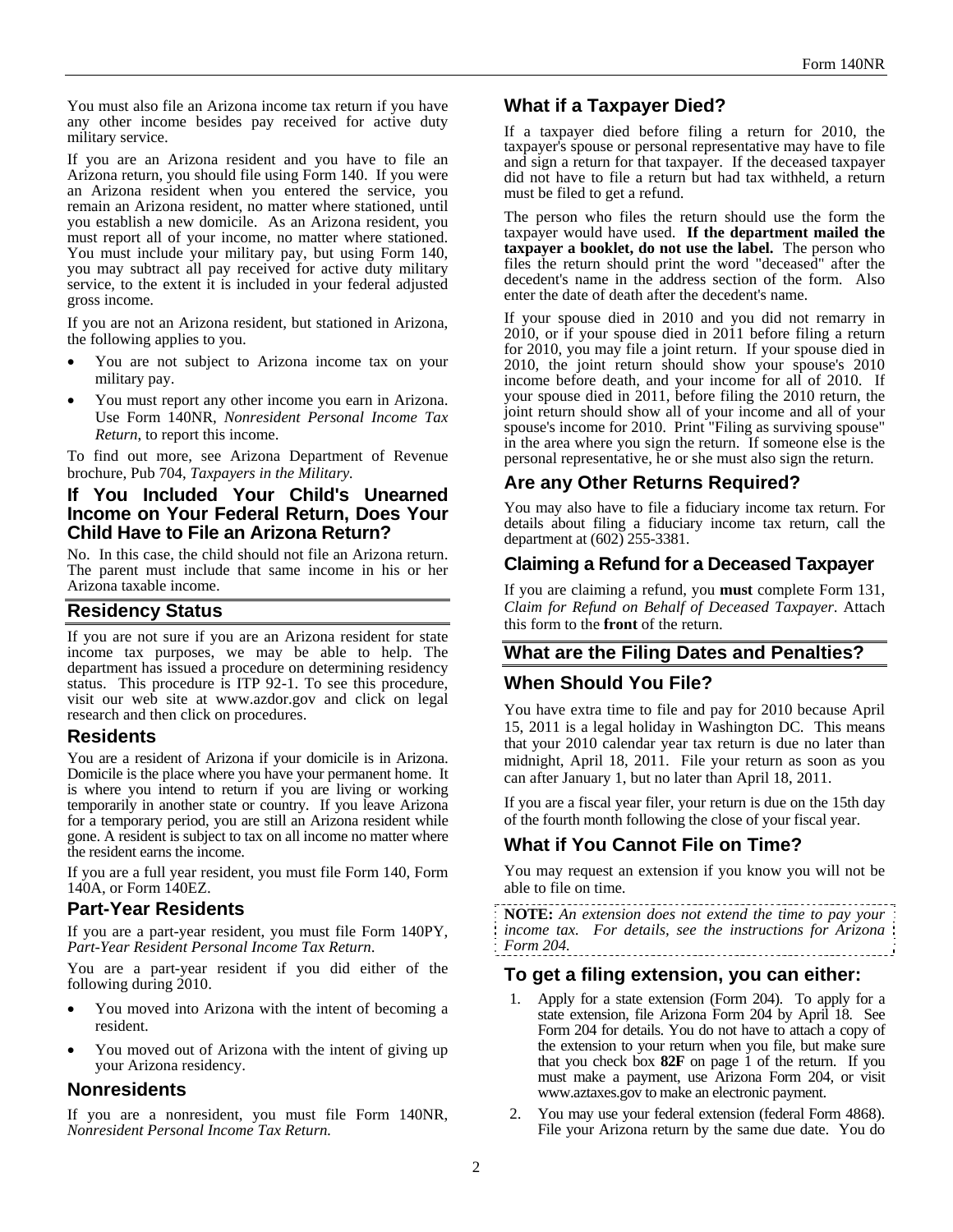You must also file an Arizona income tax return if you have any other income besides pay received for active duty military service.

If you are an Arizona resident and you have to file an Arizona return, you should file using Form 140. If you were an Arizona resident when you entered the service, you remain an Arizona resident, no matter where stationed, until you establish a new domicile. As an Arizona resident, you must report all of your income, no matter where stationed. You must include your military pay, but using Form 140, you may subtract all pay received for active duty military service, to the extent it is included in your federal adjusted gross income.

If you are not an Arizona resident, but stationed in Arizona, the following applies to you.

- You are not subject to Arizona income tax on your military pay.
- You must report any other income you earn in Arizona. Use Form 140NR, *Nonresident Personal Income Tax Return*, to report this income.

To find out more, see Arizona Department of Revenue brochure, Pub 704, *Taxpayers in the Military.*

### **If You Included Your Child's Unearned Income on Your Federal Return, Does Your Child Have to File an Arizona Return?**

No. In this case, the child should not file an Arizona return. The parent must include that same income in his or her Arizona taxable income.

## **Residency Status**

If you are not sure if you are an Arizona resident for state income tax purposes, we may be able to help. The department has issued a procedure on determining residency status. This procedure is ITP 92-1. To see this procedure, visit our web site at www.azdor.gov and click on legal research and then click on procedures.

### **Residents**

You are a resident of Arizona if your domicile is in Arizona. Domicile is the place where you have your permanent home. It is where you intend to return if you are living or working temporarily in another state or country. If you leave Arizona for a temporary period, you are still an Arizona resident while gone. A resident is subject to tax on all income no matter where the resident earns the income.

If you are a full year resident, you must file Form 140, Form 140A, or Form 140EZ.

## **Part-Year Residents**

If you are a part-year resident, you must file Form 140PY, *Part-Year Resident Personal Income Tax Return*.

You are a part-year resident if you did either of the following during 2010.

- You moved into Arizona with the intent of becoming a resident.
- You moved out of Arizona with the intent of giving up your Arizona residency.

## **Nonresidents**

If you are a nonresident, you must file Form 140NR, *Nonresident Personal Income Tax Return.*

# **What if a Taxpayer Died?**

If a taxpayer died before filing a return for 2010, the taxpayer's spouse or personal representative may have to file and sign a return for that taxpayer. If the deceased taxpayer did not have to file a return but had tax withheld, a return must be filed to get a refund.

The person who files the return should use the form the taxpayer would have used. **If the department mailed the taxpayer a booklet, do not use the label.** The person who files the return should print the word "deceased" after the decedent's name in the address section of the form. Also enter the date of death after the decedent's name.

If your spouse died in 2010 and you did not remarry in 2010, or if your spouse died in 2011 before filing a return for 2010, you may file a joint return. If your spouse died in 2010, the joint return should show your spouse's 2010 income before death, and your income for all of 2010. If your spouse died in 2011, before filing the 2010 return, the joint return should show all of your income and all of your spouse's income for 2010. Print "Filing as surviving spouse" in the area where you sign the return. If someone else is the personal representative, he or she must also sign the return.

## **Are any Other Returns Required?**

You may also have to file a fiduciary income tax return. For details about filing a fiduciary income tax return, call the department at (602) 255-3381.

## **Claiming a Refund for a Deceased Taxpayer**

If you are claiming a refund, you **must** complete Form 131, *Claim for Refund on Behalf of Deceased Taxpayer*. Attach this form to the **front** of the return.

# **What are the Filing Dates and Penalties?**

## **When Should You File?**

You have extra time to file and pay for 2010 because April 15, 2011 is a legal holiday in Washington DC. This means that your 2010 calendar year tax return is due no later than midnight, April 18, 2011. File your return as soon as you can after January 1, but no later than April 18, 2011.

If you are a fiscal year filer, your return is due on the 15th day of the fourth month following the close of your fiscal year.

# **What if You Cannot File on Time?**

You may request an extension if you know you will not be able to file on time.

**NOTE:** *An extension does not extend the time to pay your income tax. For details, see the instructions for Arizona Form 204.* 

## **To get a filing extension, you can either:**

- 1. Apply for a state extension (Form 204). To apply for a state extension, file Arizona Form 204 by April 18. See Form 204 for details. You do not have to attach a copy of the extension to your return when you file, but make sure that you check box **82F** on page 1 of the return. If you must make a payment, use Arizona Form 204*,* or visit www.aztaxes.gov to make an electronic payment.
- 2. You may use your federal extension (federal Form 4868). File your Arizona return by the same due date. You do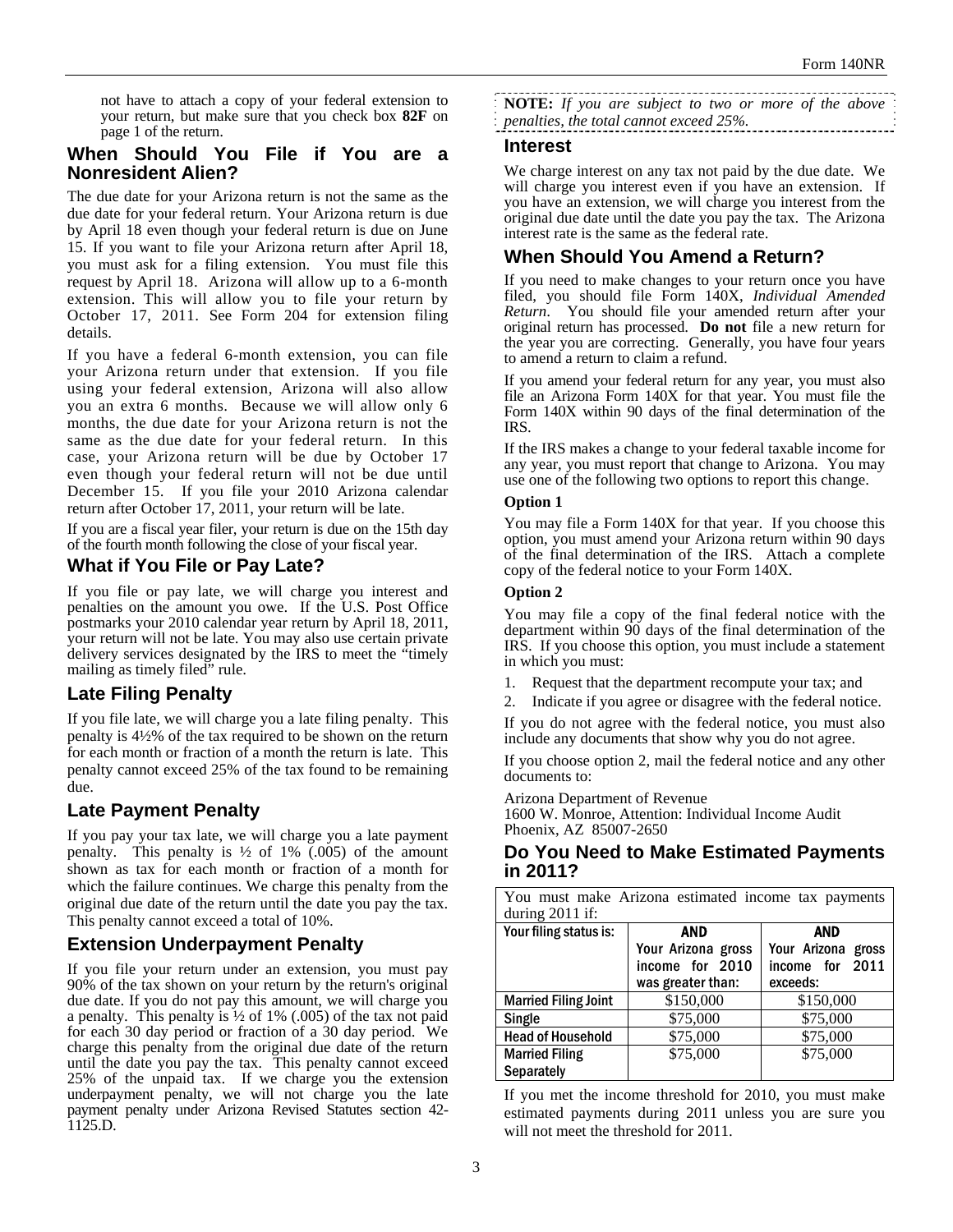not have to attach a copy of your federal extension to your return, but make sure that you check box **82F** on page 1 of the return.

### **When Should You File if You are a Nonresident Alien?**

The due date for your Arizona return is not the same as the due date for your federal return. Your Arizona return is due by April 18 even though your federal return is due on June 15. If you want to file your Arizona return after April 18, you must ask for a filing extension. You must file this request by April 18. Arizona will allow up to a 6-month extension. This will allow you to file your return by October 17, 2011. See Form 204 for extension filing details.

If you have a federal 6-month extension, you can file your Arizona return under that extension. If you file using your federal extension, Arizona will also allow you an extra 6 months. Because we will allow only 6 months, the due date for your Arizona return is not the same as the due date for your federal return. In this case, your Arizona return will be due by October 17 even though your federal return will not be due until December 15. If you file your 2010 Arizona calendar return after October 17, 2011, your return will be late.

If you are a fiscal year filer, your return is due on the 15th day of the fourth month following the close of your fiscal year.

## **What if You File or Pay Late?**

If you file or pay late, we will charge you interest and penalties on the amount you owe. If the U.S. Post Office postmarks your 2010 calendar year return by April 18, 2011, your return will not be late. You may also use certain private delivery services designated by the IRS to meet the "timely mailing as timely filed" rule.

# **Late Filing Penalty**

If you file late, we will charge you a late filing penalty. This penalty is 4½% of the tax required to be shown on the return for each month or fraction of a month the return is late. This penalty cannot exceed 25% of the tax found to be remaining due.

# **Late Payment Penalty**

If you pay your tax late, we will charge you a late payment penalty. This penalty is  $\frac{1}{2}$  of 1% (.005) of the amount shown as tax for each month or fraction of a month for which the failure continues. We charge this penalty from the original due date of the return until the date you pay the tax. This penalty cannot exceed a total of 10%.

# **Extension Underpayment Penalty**

If you file your return under an extension, you must pay 90% of the tax shown on your return by the return's original due date. If you do not pay this amount, we will charge you a penalty. This penalty is  $\frac{1}{2}$  of 1% (.005) of the tax not paid for each 30 day period or fraction of a 30 day period. We charge this penalty from the original due date of the return until the date you pay the tax. This penalty cannot exceed 25% of the unpaid tax. If we charge you the extension underpayment penalty, we will not charge you the late payment penalty under Arizona Revised Statutes section 42- 1125.D.

**NOTE:** *If you are subject to two or more of the above penalties, the total cannot exceed 25%.* 

### **Interest**

We charge interest on any tax not paid by the due date. We will charge you interest even if you have an extension. If you have an extension, we will charge you interest from the original due date until the date you pay the tax. The Arizona interest rate is the same as the federal rate.

# **When Should You Amend a Return?**

If you need to make changes to your return once you have filed, you should file Form 140X, *Individual Amended Return*. You should file your amended return after your original return has processed. **Do not** file a new return for the year you are correcting. Generally, you have four years to amend a return to claim a refund.

If you amend your federal return for any year, you must also file an Arizona Form 140X for that year. You must file the Form 140X within 90 days of the final determination of the IRS.

If the IRS makes a change to your federal taxable income for any year, you must report that change to Arizona. You may use one of the following two options to report this change.

### **Option 1**

You may file a Form 140X for that year. If you choose this option, you must amend your Arizona return within 90 days of the final determination of the IRS. Attach a complete copy of the federal notice to your Form 140X.

#### **Option 2**

You may file a copy of the final federal notice with the department within 90 days of the final determination of the IRS. If you choose this option, you must include a statement in which you must:

- 1. Request that the department recompute your tax; and
- 2. Indicate if you agree or disagree with the federal notice.

If you do not agree with the federal notice, you must also include any documents that show why you do not agree.

If you choose option 2, mail the federal notice and any other documents to:

Arizona Department of Revenue

1600 W. Monroe, Attention: Individual Income Audit Phoenix, AZ 85007-2650

## **Do You Need to Make Estimated Payments in 2011?**

| You must make Arizona estimated income tax payments |                    |                    |  |
|-----------------------------------------------------|--------------------|--------------------|--|
| during $2011$ if:                                   |                    |                    |  |
| Your filing status is:                              | AND<br><b>AND</b>  |                    |  |
|                                                     | Your Arizona gross | Your Arizona gross |  |
|                                                     | income for 2010    | income for 2011    |  |
|                                                     | was greater than:  | exceeds:           |  |
| <b>Married Filing Joint</b>                         | \$150,000          | \$150,000          |  |
| Single                                              | \$75,000           | \$75,000           |  |
| <b>Head of Household</b>                            | \$75,000           | \$75,000           |  |
| <b>Married Filing</b>                               | \$75,000           | \$75,000           |  |
| <b>Separately</b>                                   |                    |                    |  |

If you met the income threshold for 2010, you must make estimated payments during 2011 unless you are sure you will not meet the threshold for 2011.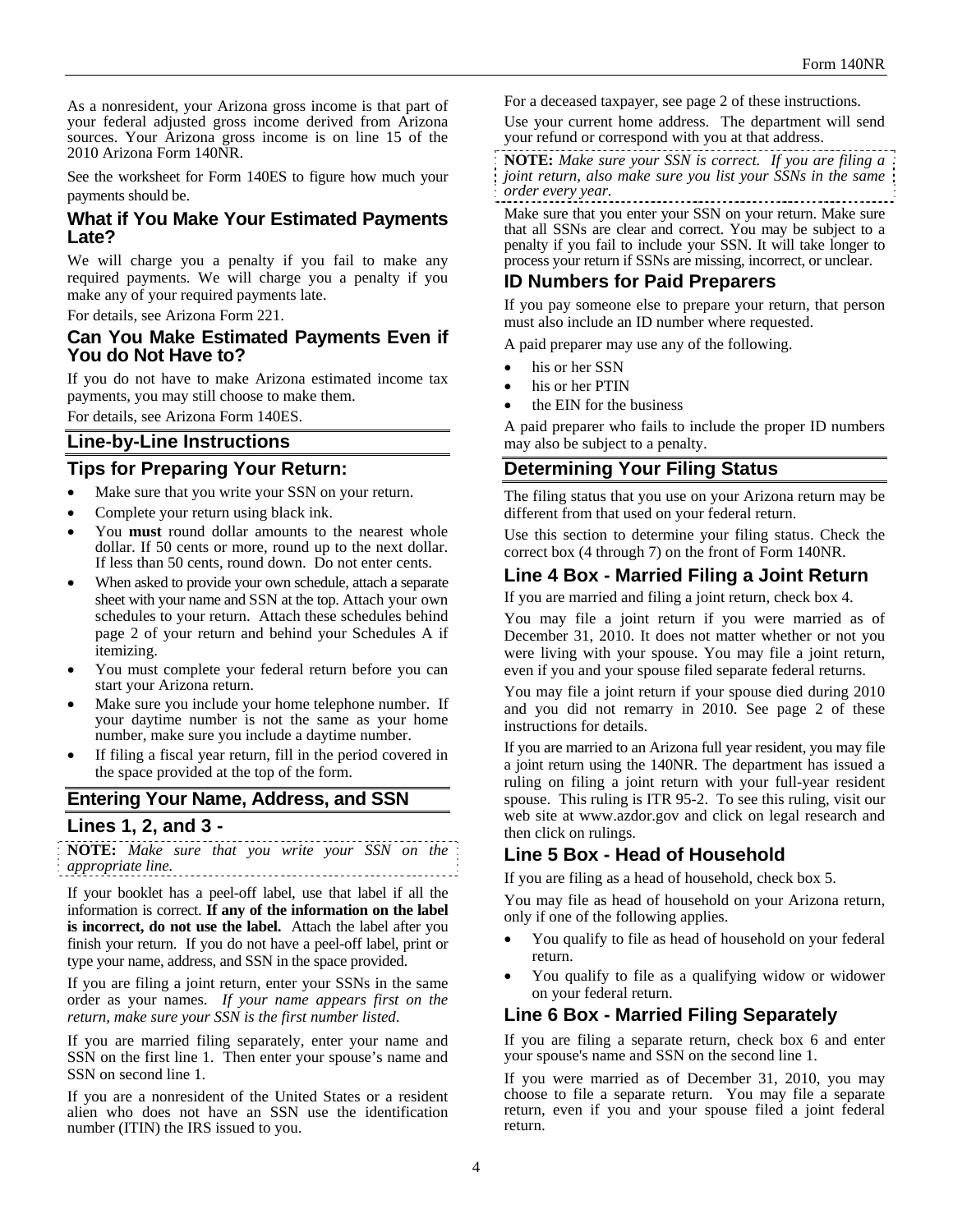As a nonresident, your Arizona gross income is that part of your federal adjusted gross income derived from Arizona sources. Your Arizona gross income is on line 15 of the 2010 Arizona Form 140NR.

See the worksheet for Form 140ES to figure how much your payments should be.

## **What if You Make Your Estimated Payments Late?**

We will charge you a penalty if you fail to make any required payments. We will charge you a penalty if you make any of your required payments late.

For details, see Arizona Form 221.

### **Can You Make Estimated Payments Even if You do Not Have to?**

If you do not have to make Arizona estimated income tax payments, you may still choose to make them.

For details, see Arizona Form 140ES.

## **Line-by-Line Instructions**

## **Tips for Preparing Your Return:**

- Make sure that you write your SSN on your return.
- Complete your return using black ink.
- You **must** round dollar amounts to the nearest whole dollar. If 50 cents or more, round up to the next dollar. If less than 50 cents, round down. Do not enter cents.
- When asked to provide your own schedule, attach a separate sheet with your name and SSN at the top. Attach your own schedules to your return. Attach these schedules behind page 2 of your return and behind your Schedules A if itemizing.
- You must complete your federal return before you can start your Arizona return.
- Make sure you include your home telephone number. If your daytime number is not the same as your home number, make sure you include a daytime number.
- If filing a fiscal year return, fill in the period covered in the space provided at the top of the form.

## **Entering Your Name, Address, and SSN**

### **Lines 1, 2, and 3 -**

**NOTE:** *Make sure that you write your SSN on the appropriate line.*

If your booklet has a peel-off label, use that label if all the information is correct. **If any of the information on the label is incorrect, do not use the label.** Attach the label after you finish your return. If you do not have a peel-off label, print or type your name, address, and SSN in the space provided.

If you are filing a joint return, enter your SSNs in the same order as your names. *If your name appears first on the return, make sure your SSN is the first number listed*.

If you are married filing separately, enter your name and SSN on the first line 1. Then enter your spouse's name and SSN on second line 1.

If you are a nonresident of the United States or a resident alien who does not have an SSN use the identification number (ITIN) the IRS issued to you.

For a deceased taxpayer, see page 2 of these instructions.

Use your current home address. The department will send your refund or correspond with you at that address.

**NOTE:** *Make sure your SSN is correct. If you are filing a joint return, also make sure you list your SSNs in the same order every year.*  

Make sure that you enter your SSN on your return. Make sure that all SSNs are clear and correct. You may be subject to a penalty if you fail to include your SSN. It will take longer to process your return if SSNs are missing, incorrect, or unclear.

# **ID Numbers for Paid Preparers**

If you pay someone else to prepare your return, that person must also include an ID number where requested.

A paid preparer may use any of the following.

- his or her SSN
- his or her PTIN
- the EIN for the business

A paid preparer who fails to include the proper ID numbers may also be subject to a penalty.

## **Determining Your Filing Status**

The filing status that you use on your Arizona return may be different from that used on your federal return.

Use this section to determine your filing status. Check the correct box (4 through 7) on the front of Form 140NR.

## **Line 4 Box - Married Filing a Joint Return**

If you are married and filing a joint return, check box 4.

You may file a joint return if you were married as of December 31, 2010. It does not matter whether or not you were living with your spouse. You may file a joint return, even if you and your spouse filed separate federal returns.

You may file a joint return if your spouse died during 2010 and you did not remarry in 2010. See page 2 of these instructions for details.

If you are married to an Arizona full year resident, you may file a joint return using the 140NR. The department has issued a ruling on filing a joint return with your full-year resident spouse. This ruling is ITR 95-2. To see this ruling, visit our web site at www.azdor.gov and click on legal research and then click on rulings.

# **Line 5 Box - Head of Household**

If you are filing as a head of household, check box 5.

You may file as head of household on your Arizona return, only if one of the following applies.

- You qualify to file as head of household on your federal return.
- You qualify to file as a qualifying widow or widower on your federal return.

# **Line 6 Box - Married Filing Separately**

If you are filing a separate return, check box 6 and enter your spouse's name and SSN on the second line 1.

If you were married as of December 31, 2010, you may choose to file a separate return. You may file a separate return, even if you and your spouse filed a joint federal return.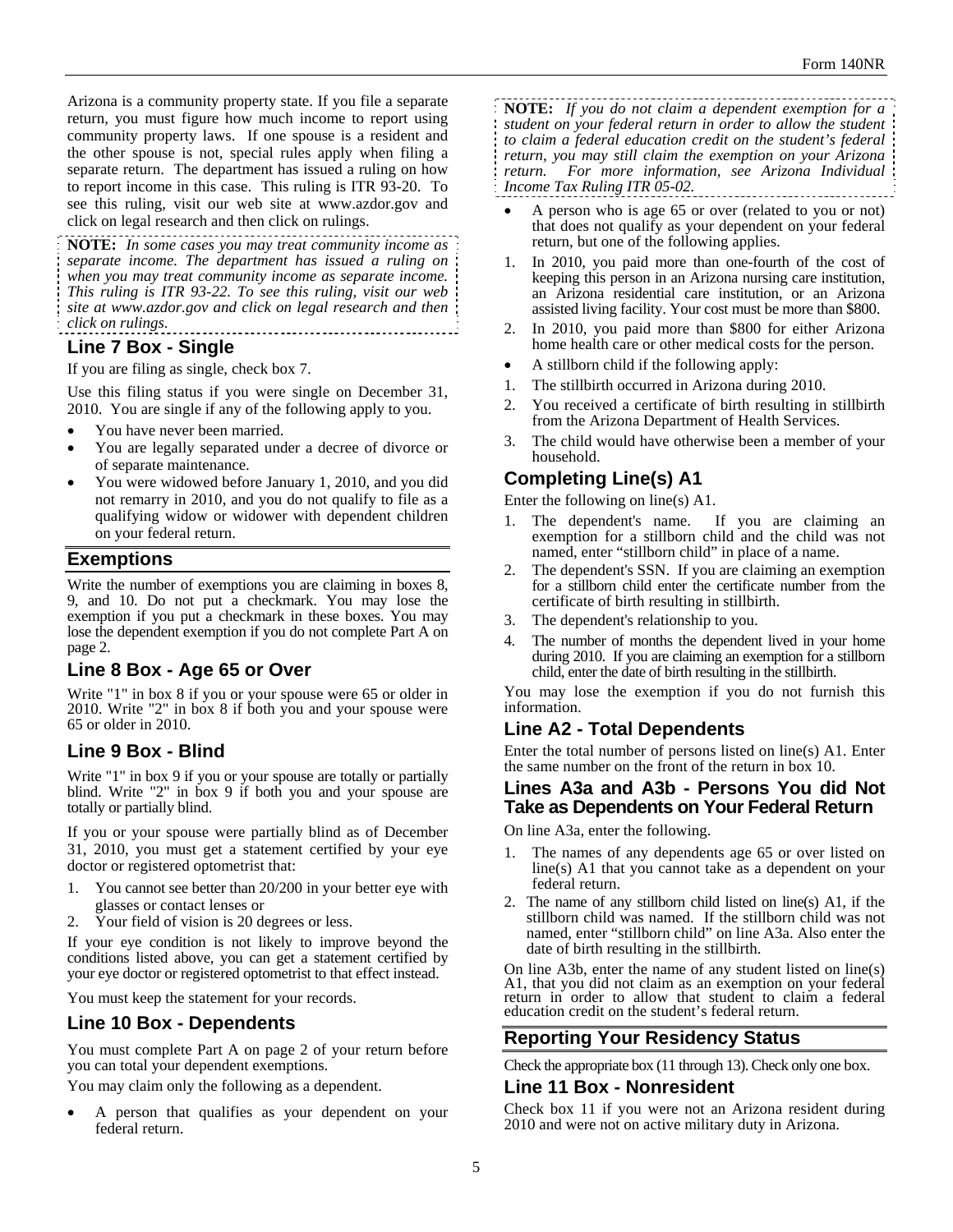Arizona is a community property state. If you file a separate return, you must figure how much income to report using community property laws. If one spouse is a resident and the other spouse is not, special rules apply when filing a separate return. The department has issued a ruling on how to report income in this case. This ruling is ITR 93-20. To see this ruling, visit our web site at www.azdor.gov and click on legal research and then click on rulings.

**NOTE:** *In some cases you may treat community income as separate income. The department has issued a ruling on when you may treat community income as separate income. This ruling is ITR 93-22. To see this ruling, visit our web site at www.azdor.gov and click on legal research and then click on rulings*. 

## **Line 7 Box - Single**

If you are filing as single, check box 7.

Use this filing status if you were single on December 31, 2010. You are single if any of the following apply to you.

- You have never been married.
- You are legally separated under a decree of divorce or of separate maintenance.
- You were widowed before January 1, 2010, and you did not remarry in 2010, and you do not qualify to file as a qualifying widow or widower with dependent children on your federal return.

### **Exemptions**

Write the number of exemptions you are claiming in boxes 8, 9, and 10. Do not put a checkmark. You may lose the exemption if you put a checkmark in these boxes. You may lose the dependent exemption if you do not complete Part A on page 2.

### **Line 8 Box - Age 65 or Over**

Write "1" in box 8 if you or your spouse were 65 or older in 2010. Write "2" in box 8 if both you and your spouse were 65 or older in 2010.

## **Line 9 Box - Blind**

Write "1" in box 9 if you or your spouse are totally or partially blind. Write "2" in box 9 if both you and your spouse are totally or partially blind.

If you or your spouse were partially blind as of December 31, 2010, you must get a statement certified by your eye doctor or registered optometrist that:

- 1. You cannot see better than 20/200 in your better eye with glasses or contact lenses or
- 2. Your field of vision is 20 degrees or less.

If your eye condition is not likely to improve beyond the conditions listed above, you can get a statement certified by your eye doctor or registered optometrist to that effect instead.

You must keep the statement for your records.

### **Line 10 Box - Dependents**

You must complete Part A on page 2 of your return before you can total your dependent exemptions.

You may claim only the following as a dependent.

 A person that qualifies as your dependent on your federal return.

**NOTE:** *If you do not claim a dependent exemption for a student on your federal return in order to allow the student to claim a federal education credit on the student's federal return, you may still claim the exemption on your Arizona return. For more information, see Arizona Individual Income Tax Ruling ITR 05-02.*

- A person who is age 65 or over (related to you or not) that does not qualify as your dependent on your federal return, but one of the following applies.
- 1. In 2010, you paid more than one-fourth of the cost of keeping this person in an Arizona nursing care institution, an Arizona residential care institution, or an Arizona assisted living facility. Your cost must be more than \$800.
- 2. In 2010, you paid more than \$800 for either Arizona home health care or other medical costs for the person.
- A stillborn child if the following apply:
- 1. The stillbirth occurred in Arizona during 2010.
- 2. You received a certificate of birth resulting in stillbirth from the Arizona Department of Health Services.
- 3. The child would have otherwise been a member of your household.

# **Completing Line(s) A1**

Enter the following on line(s) A1.

- The dependent's name. If you are claiming an exemption for a stillborn child and the child was not named, enter "stillborn child" in place of a name.
- 2. The dependent's SSN. If you are claiming an exemption for a stillborn child enter the certificate number from the certificate of birth resulting in stillbirth.
- 3. The dependent's relationship to you.
- 4. The number of months the dependent lived in your home during 2010. If you are claiming an exemption for a stillborn child, enter the date of birth resulting in the stillbirth.

You may lose the exemption if you do not furnish this information.

## **Line A2 - Total Dependents**

Enter the total number of persons listed on line(s) A1. Enter the same number on the front of the return in box 10.

### **Lines A3a and A3b - Persons You did Not Take as Dependents on Your Federal Return**

On line A3a, enter the following.

- 1. The names of any dependents age 65 or over listed on line(s) A1 that you cannot take as a dependent on your federal return.
- 2. The name of any stillborn child listed on line(s) A1, if the stillborn child was named. If the stillborn child was not named, enter "stillborn child" on line A3a. Also enter the date of birth resulting in the stillbirth.

On line A3b, enter the name of any student listed on line(s) A1, that you did not claim as an exemption on your federal return in order to allow that student to claim a federal education credit on the student's federal return.

## **Reporting Your Residency Status**

Check the appropriate box (11 through 13). Check only one box.

### **Line 11 Box - Nonresident**

Check box 11 if you were not an Arizona resident during 2010 and were not on active military duty in Arizona.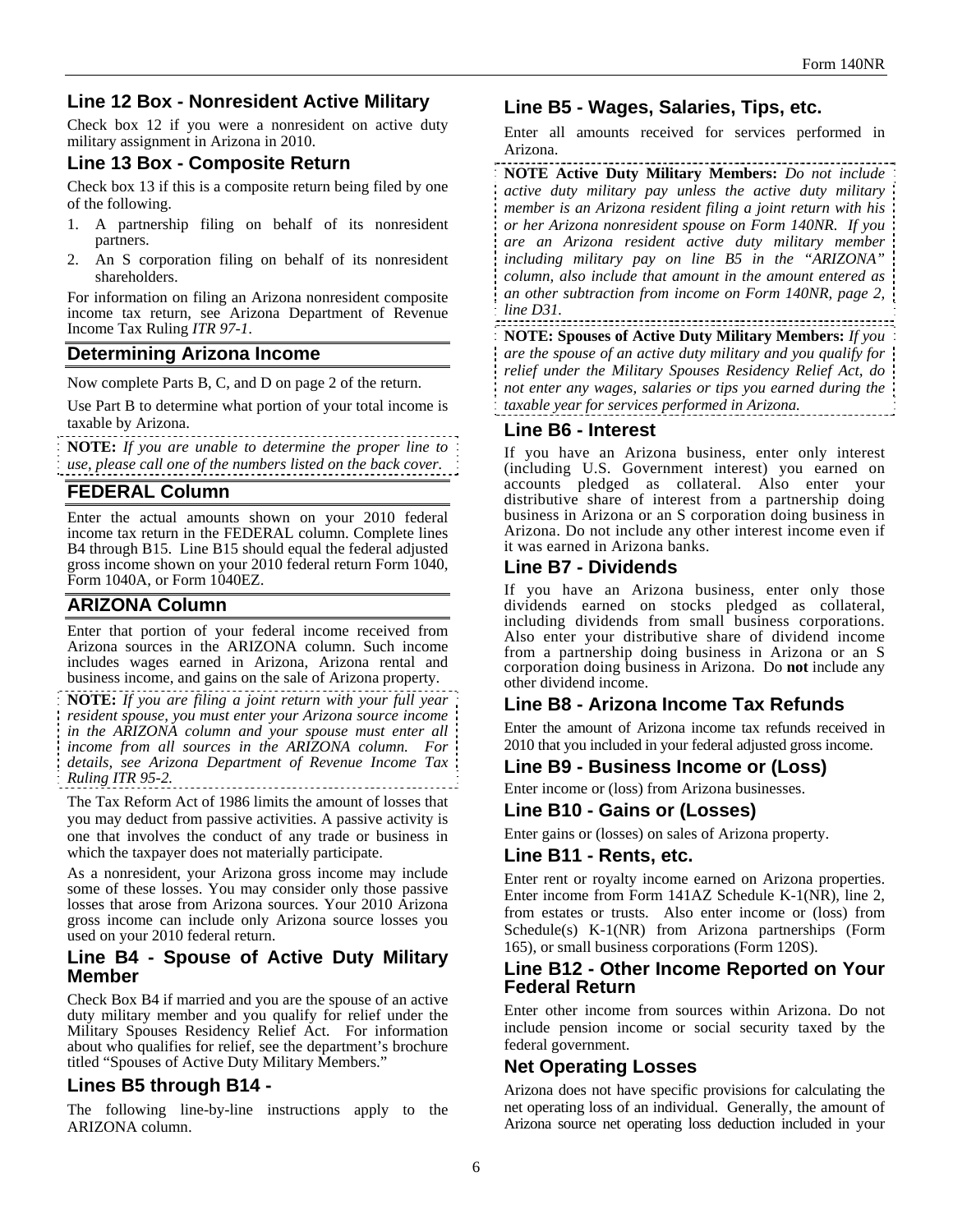# **Line 12 Box - Nonresident Active Military**

Check box 12 if you were a nonresident on active duty military assignment in Arizona in 2010.

## **Line 13 Box - Composite Return**

Check box 13 if this is a composite return being filed by one of the following.

- 1. A partnership filing on behalf of its nonresident partners.
- 2. An S corporation filing on behalf of its nonresident shareholders.

For information on filing an Arizona nonresident composite income tax return, see Arizona Department of Revenue Income Tax Ruling *ITR 97-1*.

## **Determining Arizona Income**

Now complete Parts B, C, and D on page 2 of the return.

Use Part B to determine what portion of your total income is taxable by Arizona.

**NOTE:** *If you are unable to determine the proper line to use, please call one of the numbers listed on the back cover.* 

## **FEDERAL Column**

Enter the actual amounts shown on your 2010 federal income tax return in the FEDERAL column. Complete lines B4 through B15. Line B15 should equal the federal adjusted gross income shown on your 2010 federal return Form 1040, Form 1040A, or Form 1040EZ.

## **ARIZONA Column**

Enter that portion of your federal income received from Arizona sources in the ARIZONA column. Such income includes wages earned in Arizona, Arizona rental and business income, and gains on the sale of Arizona property.

**NOTE:** *If you are filing a joint return with your full year resident spouse, you must enter your Arizona source income in the ARIZONA column and your spouse must enter all income from all sources in the ARIZONA column. For details, see Arizona Department of Revenue Income Tax Ruling ITR 95-2.*

The Tax Reform Act of 1986 limits the amount of losses that you may deduct from passive activities. A passive activity is one that involves the conduct of any trade or business in which the taxpayer does not materially participate.

As a nonresident, your Arizona gross income may include some of these losses. You may consider only those passive losses that arose from Arizona sources. Your 2010 Arizona gross income can include only Arizona source losses you used on your 2010 federal return.

### **Line B4 - Spouse of Active Duty Military Member**

Check Box B4 if married and you are the spouse of an active duty military member and you qualify for relief under the Military Spouses Residency Relief Act. For information about who qualifies for relief, see the department's brochure titled "Spouses of Active Duty Military Members."

## **Lines B5 through B14 -**

The following line-by-line instructions apply to the ARIZONA column.

## **Line B5 - Wages, Salaries, Tips, etc.**

Enter all amounts received for services performed in Arizona.

**NOTE Active Duty Military Members:** *Do not include active duty military pay unless the active duty military member is an Arizona resident filing a joint return with his or her Arizona nonresident spouse on Form 140NR. If you are an Arizona resident active duty military member including military pay on line B5 in the "ARIZONA" column, also include that amount in the amount entered as an other subtraction from income on Form 140NR, page 2, line D31.* 

**NOTE: Spouses of Active Duty Military Members:** *If you are the spouse of an active duty military and you qualify for relief under the Military Spouses Residency Relief Act, do not enter any wages, salaries or tips you earned during the taxable year for services performed in Arizona.*

### **Line B6 - Interest**

If you have an Arizona business, enter only interest (including U.S. Government interest) you earned on accounts pledged as collateral. Also enter your distributive share of interest from a partnership doing business in Arizona or an S corporation doing business in Arizona. Do not include any other interest income even if it was earned in Arizona banks.

## **Line B7 - Dividends**

If you have an Arizona business, enter only those dividends earned on stocks pledged as collateral, including dividends from small business corporations. Also enter your distributive share of dividend income from a partnership doing business in Arizona or an S corporation doing business in Arizona. Do **not** include any other dividend income.

## **Line B8 - Arizona Income Tax Refunds**

Enter the amount of Arizona income tax refunds received in 2010 that you included in your federal adjusted gross income.

### **Line B9 - Business Income or (Loss)**

Enter income or (loss) from Arizona businesses.

### **Line B10 - Gains or (Losses)**

Enter gains or (losses) on sales of Arizona property.

### **Line B11 - Rents, etc.**

Enter rent or royalty income earned on Arizona properties. Enter income from Form 141AZ Schedule K-1(NR), line 2, from estates or trusts. Also enter income or (loss) from Schedule(s) K-1(NR) from Arizona partnerships (Form 165), or small business corporations (Form 120S).

### **Line B12 - Other Income Reported on Your Federal Return**

Enter other income from sources within Arizona. Do not include pension income or social security taxed by the federal government.

## **Net Operating Losses**

Arizona does not have specific provisions for calculating the net operating loss of an individual. Generally, the amount of Arizona source net operating loss deduction included in your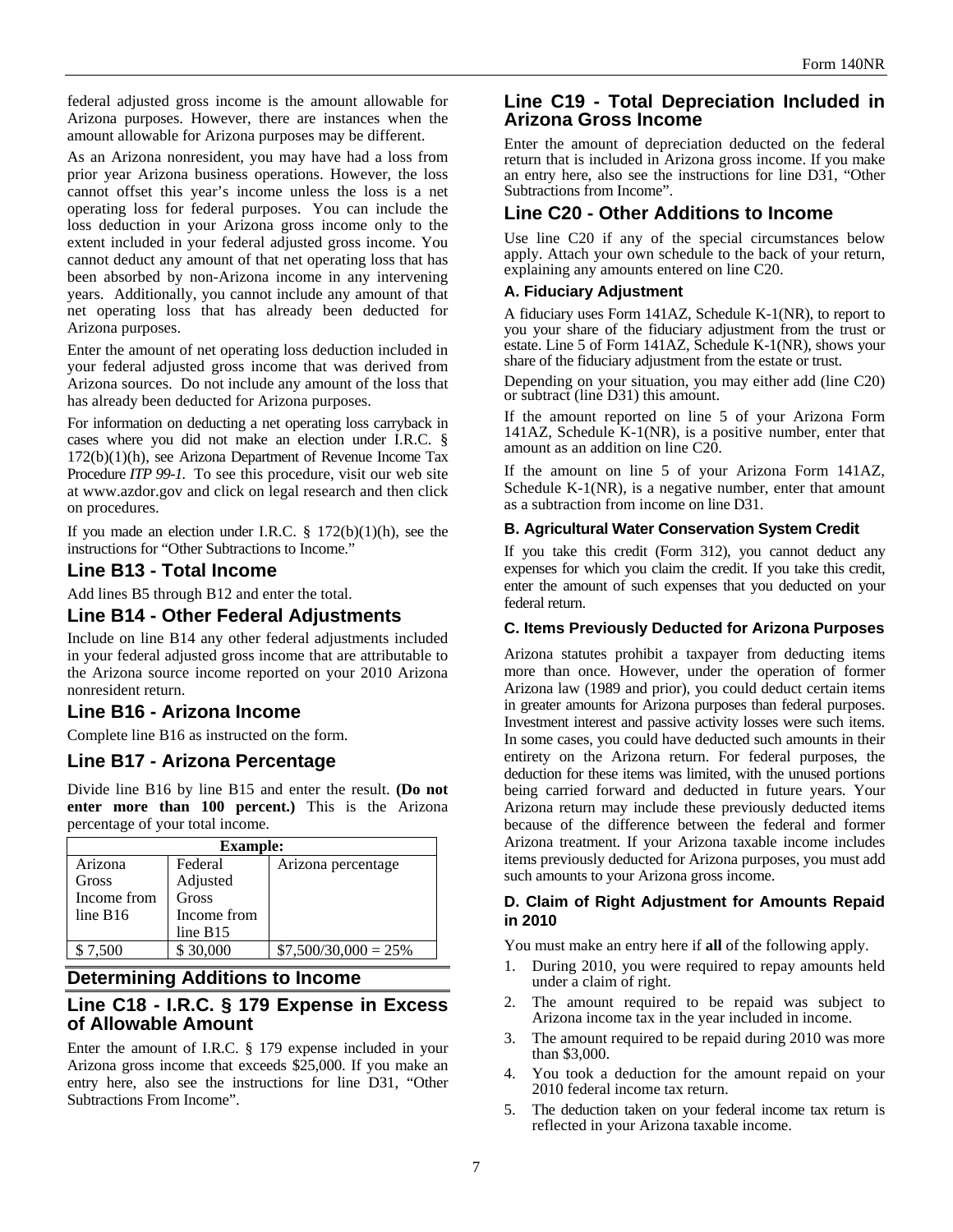federal adjusted gross income is the amount allowable for Arizona purposes. However, there are instances when the amount allowable for Arizona purposes may be different.

As an Arizona nonresident, you may have had a loss from prior year Arizona business operations. However, the loss cannot offset this year's income unless the loss is a net operating loss for federal purposes. You can include the loss deduction in your Arizona gross income only to the extent included in your federal adjusted gross income. You cannot deduct any amount of that net operating loss that has been absorbed by non-Arizona income in any intervening years. Additionally, you cannot include any amount of that net operating loss that has already been deducted for Arizona purposes.

Enter the amount of net operating loss deduction included in your federal adjusted gross income that was derived from Arizona sources. Do not include any amount of the loss that has already been deducted for Arizona purposes.

For information on deducting a net operating loss carryback in cases where you did not make an election under I.R.C. § 172(b)(1)(h), see Arizona Department of Revenue Income Tax Procedure *ITP 99-1.* To see this procedure, visit our web site at www.azdor.gov and click on legal research and then click on procedures.

If you made an election under I.R.C.  $\S$  172(b)(1)(h), see the instructions for "Other Subtractions to Income."

## **Line B13 - Total Income**

Add lines B5 through B12 and enter the total.

## **Line B14 - Other Federal Adjustments**

Include on line B14 any other federal adjustments included in your federal adjusted gross income that are attributable to the Arizona source income reported on your 2010 Arizona nonresident return.

## **Line B16 - Arizona Income**

Complete line B16 as instructed on the form.

## **Line B17 - Arizona Percentage**

Divide line B16 by line B15 and enter the result. **(Do not enter more than 100 percent.)** This is the Arizona percentage of your total income.

| <b>Example:</b> |             |                        |
|-----------------|-------------|------------------------|
| Arizona         | Federal     | Arizona percentage     |
| <b>Gross</b>    | Adjusted    |                        |
| Income from     | Gross       |                        |
| line B16        | Income from |                        |
|                 | line $B15$  |                        |
| \$7,500         | \$30,000    | $$7,500/30,000 = 25\%$ |

### **Determining Additions to Income**

## **Line C18 - I.R.C. § 179 Expense in Excess of Allowable Amount**

Enter the amount of I.R.C. § 179 expense included in your Arizona gross income that exceeds \$25,000. If you make an entry here, also see the instructions for line D31, "Other Subtractions From Income".

## **Line C19 - Total Depreciation Included in Arizona Gross Income**

Enter the amount of depreciation deducted on the federal return that is included in Arizona gross income. If you make an entry here, also see the instructions for line D31, "Other Subtractions from Income".

# **Line C20 - Other Additions to Income**

Use line C20 if any of the special circumstances below apply. Attach your own schedule to the back of your return, explaining any amounts entered on line C20.

## **A. Fiduciary Adjustment**

A fiduciary uses Form 141AZ, Schedule K-1(NR), to report to you your share of the fiduciary adjustment from the trust or estate. Line 5 of Form 141AZ, Schedule K-1(NR), shows your share of the fiduciary adjustment from the estate or trust.

Depending on your situation, you may either add (line C20) or subtract (line D31) this amount.

If the amount reported on line 5 of your Arizona Form 141AZ, Schedule K-1(NR), is a positive number, enter that amount as an addition on line C20.

If the amount on line 5 of your Arizona Form 141AZ, Schedule K-1(NR), is a negative number, enter that amount as a subtraction from income on line D31.

#### **B. Agricultural Water Conservation System Credit**

If you take this credit (Form 312), you cannot deduct any expenses for which you claim the credit. If you take this credit, enter the amount of such expenses that you deducted on your federal return.

#### **C. Items Previously Deducted for Arizona Purposes**

Arizona statutes prohibit a taxpayer from deducting items more than once. However, under the operation of former Arizona law (1989 and prior), you could deduct certain items in greater amounts for Arizona purposes than federal purposes. Investment interest and passive activity losses were such items. In some cases, you could have deducted such amounts in their entirety on the Arizona return. For federal purposes, the deduction for these items was limited, with the unused portions being carried forward and deducted in future years. Your Arizona return may include these previously deducted items because of the difference between the federal and former Arizona treatment. If your Arizona taxable income includes items previously deducted for Arizona purposes, you must add such amounts to your Arizona gross income.

### **D. Claim of Right Adjustment for Amounts Repaid in 2010**

You must make an entry here if **all** of the following apply.

- 1. During 2010, you were required to repay amounts held under a claim of right.
- 2. The amount required to be repaid was subject to Arizona income tax in the year included in income.
- 3. The amount required to be repaid during 2010 was more than \$3,000.
- 4. You took a deduction for the amount repaid on your 2010 federal income tax return.
- 5. The deduction taken on your federal income tax return is reflected in your Arizona taxable income.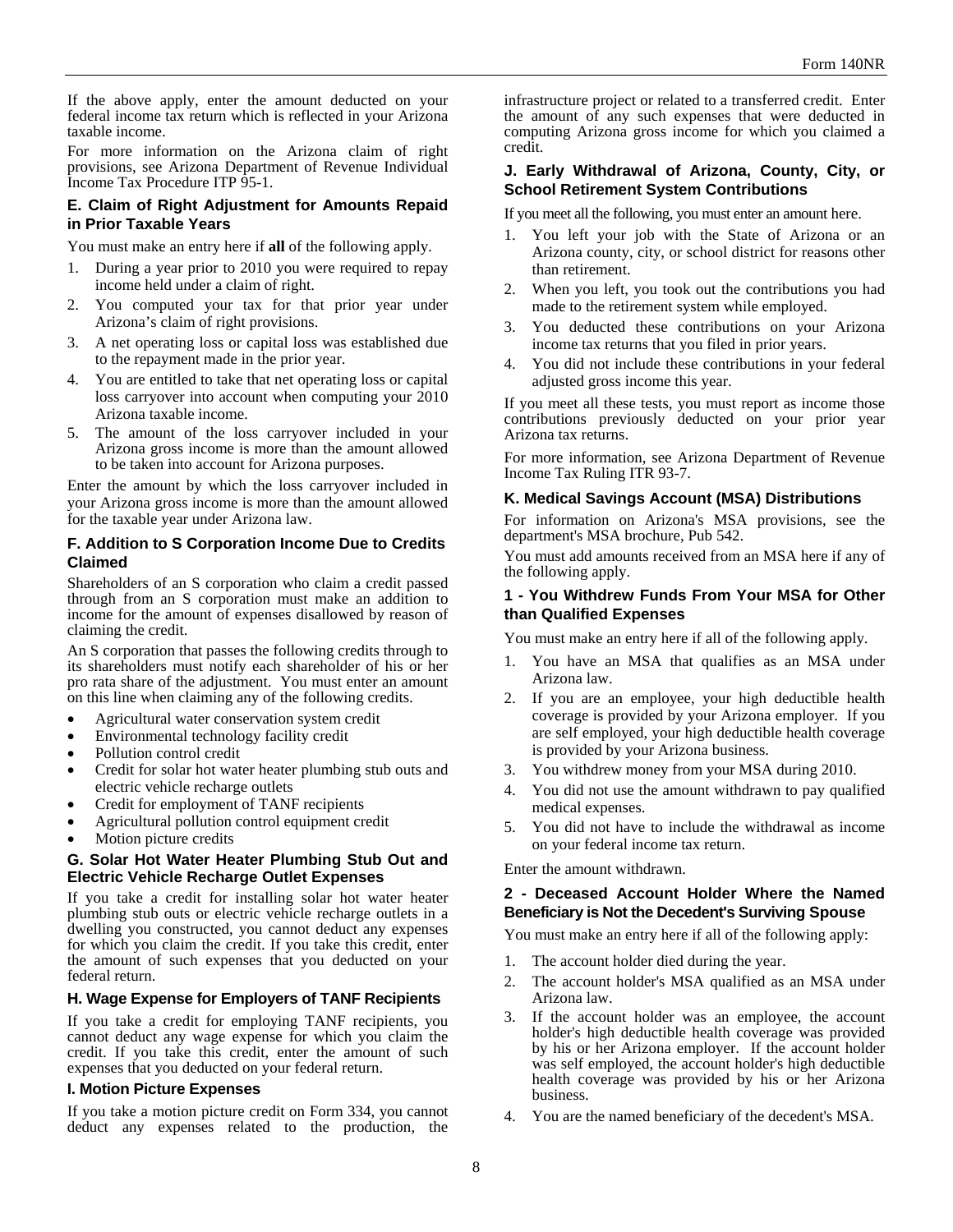If the above apply, enter the amount deducted on your federal income tax return which is reflected in your Arizona taxable income.

For more information on the Arizona claim of right provisions, see Arizona Department of Revenue Individual Income Tax Procedure ITP 95-1.

#### **E. Claim of Right Adjustment for Amounts Repaid in Prior Taxable Years**

You must make an entry here if **all** of the following apply.

- 1. During a year prior to 2010 you were required to repay income held under a claim of right.
- 2. You computed your tax for that prior year under Arizona's claim of right provisions.
- 3. A net operating loss or capital loss was established due to the repayment made in the prior year.
- 4. You are entitled to take that net operating loss or capital loss carryover into account when computing your 2010 Arizona taxable income.
- 5. The amount of the loss carryover included in your Arizona gross income is more than the amount allowed to be taken into account for Arizona purposes.

Enter the amount by which the loss carryover included in your Arizona gross income is more than the amount allowed for the taxable year under Arizona law.

#### **F. Addition to S Corporation Income Due to Credits Claimed**

Shareholders of an S corporation who claim a credit passed through from an S corporation must make an addition to income for the amount of expenses disallowed by reason of claiming the credit.

An S corporation that passes the following credits through to its shareholders must notify each shareholder of his or her pro rata share of the adjustment. You must enter an amount on this line when claiming any of the following credits.

- Agricultural water conservation system credit
- Environmental technology facility credit
- Pollution control credit
- Credit for solar hot water heater plumbing stub outs and electric vehicle recharge outlets
- Credit for employment of TANF recipients
- Agricultural pollution control equipment credit
- Motion picture credits

#### **G. Solar Hot Water Heater Plumbing Stub Out and Electric Vehicle Recharge Outlet Expenses**

If you take a credit for installing solar hot water heater plumbing stub outs or electric vehicle recharge outlets in a dwelling you constructed, you cannot deduct any expenses for which you claim the credit. If you take this credit, enter the amount of such expenses that you deducted on your federal return.

#### **H. Wage Expense for Employers of TANF Recipients**

If you take a credit for employing TANF recipients, you cannot deduct any wage expense for which you claim the credit. If you take this credit, enter the amount of such expenses that you deducted on your federal return.

#### **I. Motion Picture Expenses**

If you take a motion picture credit on Form 334, you cannot deduct any expenses related to the production, the infrastructure project or related to a transferred credit. Enter the amount of any such expenses that were deducted in computing Arizona gross income for which you claimed a credit.

#### **J. Early Withdrawal of Arizona, County, City, or School Retirement System Contributions**

If you meet all the following, you must enter an amount here.

- 1. You left your job with the State of Arizona or an Arizona county, city, or school district for reasons other than retirement.
- 2. When you left, you took out the contributions you had made to the retirement system while employed.
- 3. You deducted these contributions on your Arizona income tax returns that you filed in prior years.
- 4. You did not include these contributions in your federal adjusted gross income this year.

If you meet all these tests, you must report as income those contributions previously deducted on your prior year Arizona tax returns.

For more information, see Arizona Department of Revenue Income Tax Ruling ITR 93-7.

#### **K. Medical Savings Account (MSA) Distributions**

For information on Arizona's MSA provisions, see the department's MSA brochure, Pub 542.

You must add amounts received from an MSA here if any of the following apply.

#### **1 - You Withdrew Funds From Your MSA for Other than Qualified Expenses**

You must make an entry here if all of the following apply.

- 1. You have an MSA that qualifies as an MSA under Arizona law.
- 2. If you are an employee, your high deductible health coverage is provided by your Arizona employer. If you are self employed, your high deductible health coverage is provided by your Arizona business.
- 3. You withdrew money from your MSA during 2010.
- 4. You did not use the amount withdrawn to pay qualified medical expenses.
- 5. You did not have to include the withdrawal as income on your federal income tax return.

Enter the amount withdrawn.

### **2 - Deceased Account Holder Where the Named Beneficiary is Not the Decedent's Surviving Spouse**

You must make an entry here if all of the following apply:

- 1. The account holder died during the year.
- 2. The account holder's MSA qualified as an MSA under Arizona law.
- 3. If the account holder was an employee, the account holder's high deductible health coverage was provided by his or her Arizona employer. If the account holder was self employed, the account holder's high deductible health coverage was provided by his or her Arizona business.
- 4. You are the named beneficiary of the decedent's MSA.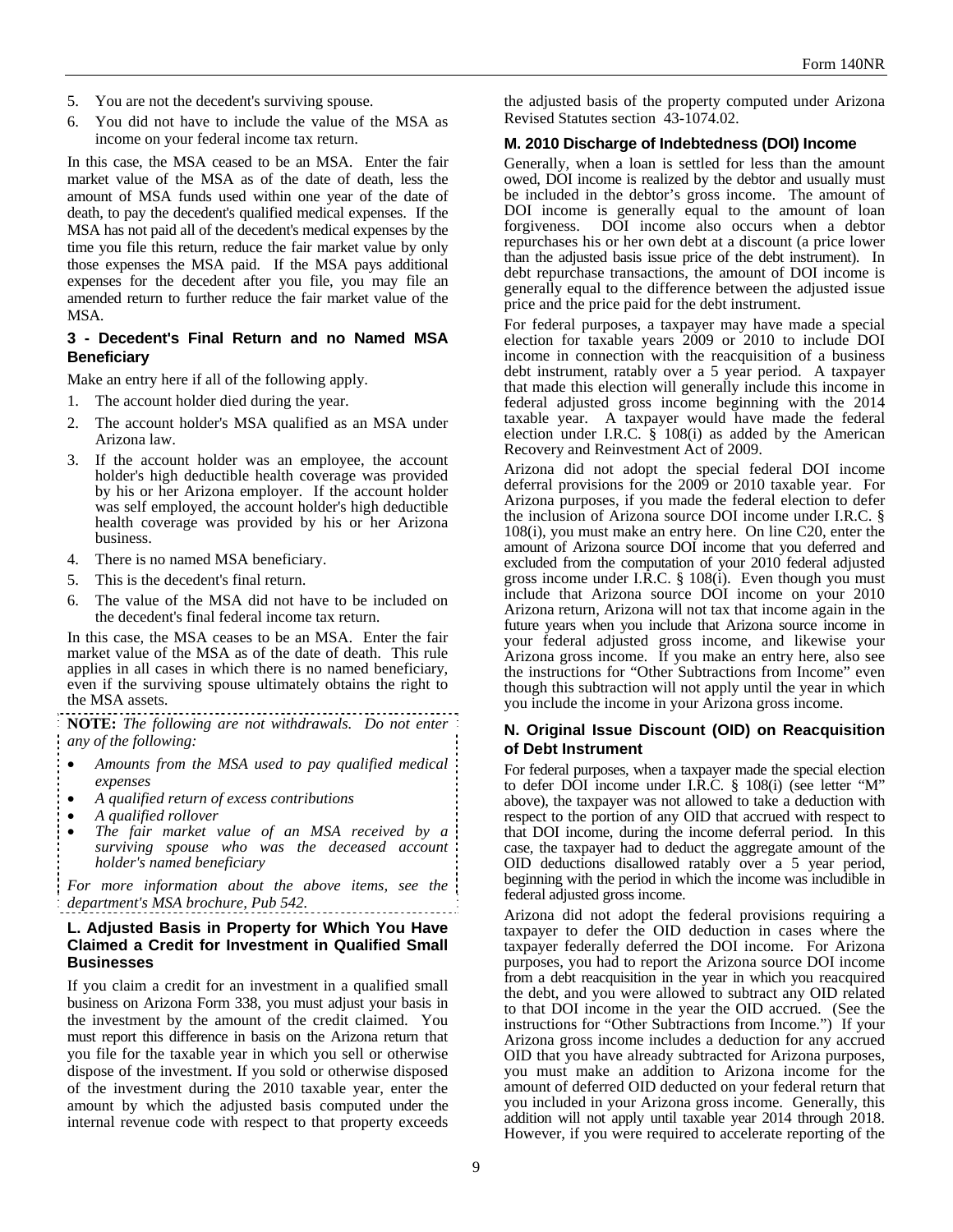- 5. You are not the decedent's surviving spouse.
- 6. You did not have to include the value of the MSA as income on your federal income tax return.

In this case, the MSA ceased to be an MSA. Enter the fair market value of the MSA as of the date of death, less the amount of MSA funds used within one year of the date of death, to pay the decedent's qualified medical expenses. If the MSA has not paid all of the decedent's medical expenses by the time you file this return, reduce the fair market value by only those expenses the MSA paid. If the MSA pays additional expenses for the decedent after you file, you may file an amended return to further reduce the fair market value of the MSA.

#### **3 - Decedent's Final Return and no Named MSA Beneficiary**

Make an entry here if all of the following apply.

- 1. The account holder died during the year.
- 2. The account holder's MSA qualified as an MSA under Arizona law.
- 3. If the account holder was an employee, the account holder's high deductible health coverage was provided by his or her Arizona employer. If the account holder was self employed, the account holder's high deductible health coverage was provided by his or her Arizona business.
- 4. There is no named MSA beneficiary.
- 5. This is the decedent's final return.
- 6. The value of the MSA did not have to be included on the decedent's final federal income tax return.

In this case, the MSA ceases to be an MSA. Enter the fair market value of the MSA as of the date of death. This rule applies in all cases in which there is no named beneficiary, even if the surviving spouse ultimately obtains the right to the MSA assets.

**NOTE:** *The following are not withdrawals. Do not enter any of the following:* 

- *Amounts from the MSA used to pay qualified medical expenses*
- *A qualified return of excess contributions*
- *A qualified rollover*
- *The fair market value of an MSA received by a surviving spouse who was the deceased account holder's named beneficiary*

*For more information about the above items, see the department's MSA brochure, Pub 542.* 

#### **L. Adjusted Basis in Property for Which You Have Claimed a Credit for Investment in Qualified Small Businesses**

If you claim a credit for an investment in a qualified small business on Arizona Form 338, you must adjust your basis in the investment by the amount of the credit claimed. You must report this difference in basis on the Arizona return that you file for the taxable year in which you sell or otherwise dispose of the investment. If you sold or otherwise disposed of the investment during the 2010 taxable year, enter the amount by which the adjusted basis computed under the internal revenue code with respect to that property exceeds the adjusted basis of the property computed under Arizona Revised Statutes section 43-1074.02.

#### **M. 2010 Discharge of Indebtedness (DOI) Income**

Generally, when a loan is settled for less than the amount owed, DOI income is realized by the debtor and usually must be included in the debtor's gross income. The amount of DOI income is generally equal to the amount of loan forgiveness. DOI income also occurs when a debtor repurchases his or her own debt at a discount (a price lower than the adjusted basis issue price of the debt instrument). In debt repurchase transactions, the amount of DOI income is generally equal to the difference between the adjusted issue price and the price paid for the debt instrument.

For federal purposes, a taxpayer may have made a special election for taxable years 2009 or 2010 to include DOI income in connection with the reacquisition of a business debt instrument, ratably over a 5 year period. A taxpayer that made this election will generally include this income in federal adjusted gross income beginning with the 2014 taxable year. A taxpayer would have made the federal election under I.R.C. § 108(i) as added by the American Recovery and Reinvestment Act of 2009.

Arizona did not adopt the special federal DOI income deferral provisions for the 2009 or 2010 taxable year. For Arizona purposes, if you made the federal election to defer the inclusion of Arizona source DOI income under I.R.C. § 108(i), you must make an entry here. On line C20, enter the amount of Arizona source DOI income that you deferred and excluded from the computation of your 2010 federal adjusted gross income under I.R.C. § 108(i). Even though you must include that Arizona source DOI income on your 2010 Arizona return, Arizona will not tax that income again in the future years when you include that Arizona source income in your federal adjusted gross income, and likewise your Arizona gross income. If you make an entry here, also see the instructions for "Other Subtractions from Income" even though this subtraction will not apply until the year in which you include the income in your Arizona gross income.

#### **N. Original Issue Discount (OID) on Reacquisition of Debt Instrument**

For federal purposes, when a taxpayer made the special election to defer DOI income under I.R.C. § 108(i) (see letter "M" above), the taxpayer was not allowed to take a deduction with respect to the portion of any OID that accrued with respect to that DOI income, during the income deferral period. In this case, the taxpayer had to deduct the aggregate amount of the OID deductions disallowed ratably over a 5 year period, beginning with the period in which the income was includible in federal adjusted gross income.

Arizona did not adopt the federal provisions requiring a taxpayer to defer the OID deduction in cases where the taxpayer federally deferred the DOI income. For Arizona purposes, you had to report the Arizona source DOI income from a debt reacquisition in the year in which you reacquired the debt, and you were allowed to subtract any OID related to that DOI income in the year the OID accrued. (See the instructions for "Other Subtractions from Income.") If your Arizona gross income includes a deduction for any accrued OID that you have already subtracted for Arizona purposes, you must make an addition to Arizona income for the amount of deferred OID deducted on your federal return that you included in your Arizona gross income. Generally, this addition will not apply until taxable year 2014 through 2018. However, if you were required to accelerate reporting of the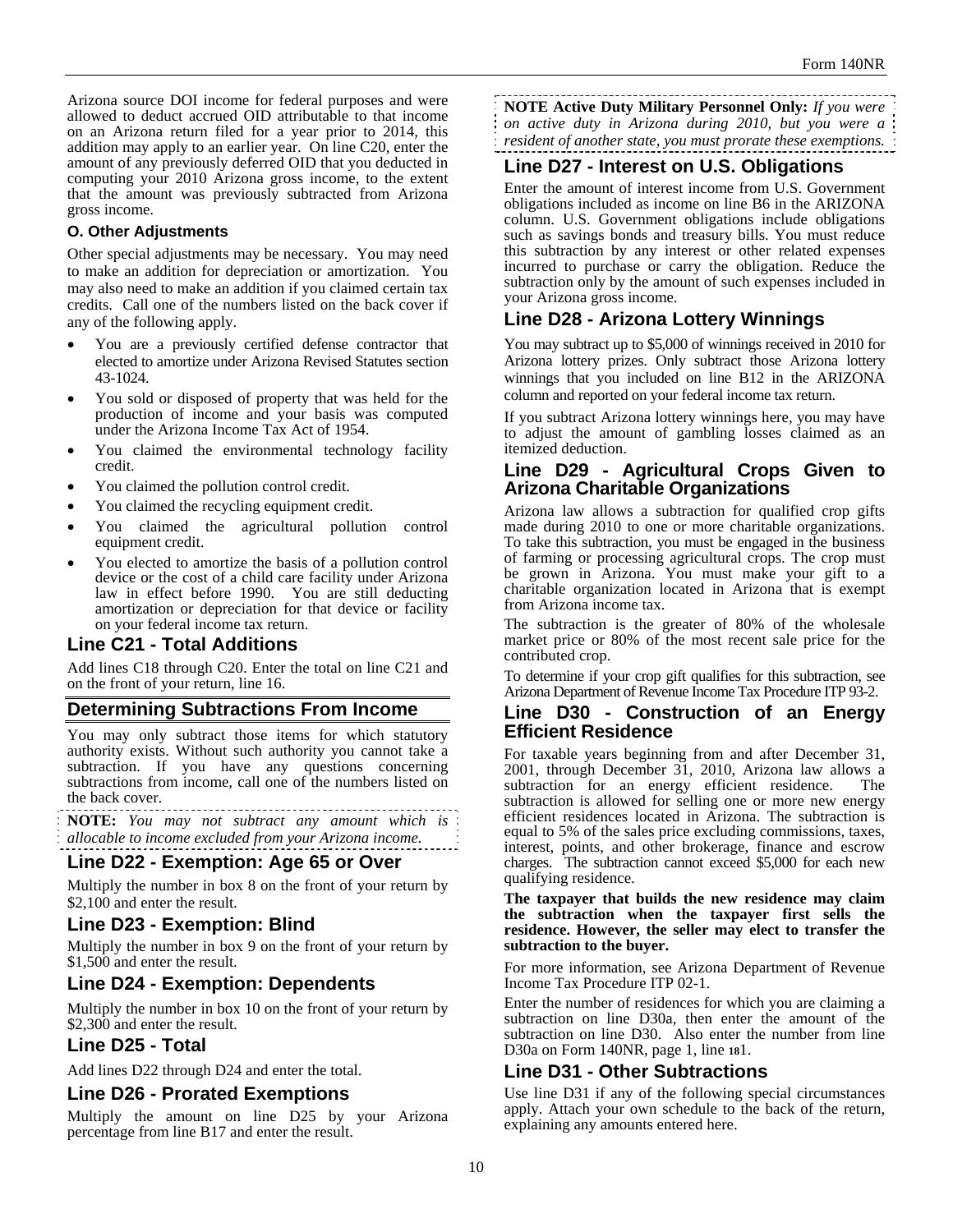Arizona source DOI income for federal purposes and were allowed to deduct accrued OID attributable to that income on an Arizona return filed for a year prior to 2014, this addition may apply to an earlier year. On line C20, enter the amount of any previously deferred OID that you deducted in computing your 2010 Arizona gross income, to the extent that the amount was previously subtracted from Arizona gross income.

### **O. Other Adjustments**

Other special adjustments may be necessary. You may need to make an addition for depreciation or amortization. You may also need to make an addition if you claimed certain tax credits. Call one of the numbers listed on the back cover if any of the following apply.

- You are a previously certified defense contractor that elected to amortize under Arizona Revised Statutes section 43-1024.
- You sold or disposed of property that was held for the production of income and your basis was computed under the Arizona Income Tax Act of 1954.
- You claimed the environmental technology facility credit.
- You claimed the pollution control credit.
- You claimed the recycling equipment credit.
- You claimed the agricultural pollution control equipment credit.
- You elected to amortize the basis of a pollution control device or the cost of a child care facility under Arizona law in effect before 1990. You are still deducting amortization or depreciation for that device or facility on your federal income tax return.

### **Line C21 - Total Additions**

Add lines C18 through C20. Enter the total on line C21 and on the front of your return, line 16.

## **Determining Subtractions From Income**

You may only subtract those items for which statutory authority exists. Without such authority you cannot take a subtraction. If you have any questions concerning subtractions from income, call one of the numbers listed on the back cover.

**NOTE:** *You may not subtract any amount which is* 

*allocable to income excluded from your Arizona income.* 

### **Line D22 - Exemption: Age 65 or Over**

Multiply the number in box 8 on the front of your return by \$2,100 and enter the result.

## **Line D23 - Exemption: Blind**

Multiply the number in box 9 on the front of your return by \$1,500 and enter the result.

## **Line D24 - Exemption: Dependents**

Multiply the number in box 10 on the front of your return by \$2,300 and enter the result.

### **Line D25 - Total**

Add lines D22 through D24 and enter the total.

### **Line D26 - Prorated Exemptions**

Multiply the amount on line D25 by your Arizona percentage from line B17 and enter the result.

**NOTE Active Duty Military Personnel Only:** *If you were on active duty in Arizona during 2010, but you were a resident of another state, you must prorate these exemptions.* 

# **Line D27 - Interest on U.S. Obligations**

Enter the amount of interest income from U.S. Government obligations included as income on line B6 in the ARIZONA column. U.S. Government obligations include obligations such as savings bonds and treasury bills. You must reduce this subtraction by any interest or other related expenses incurred to purchase or carry the obligation. Reduce the subtraction only by the amount of such expenses included in your Arizona gross income.

# **Line D28 - Arizona Lottery Winnings**

You may subtract up to \$5,000 of winnings received in 2010 for Arizona lottery prizes. Only subtract those Arizona lottery winnings that you included on line B12 in the ARIZONA column and reported on your federal income tax return.

If you subtract Arizona lottery winnings here, you may have to adjust the amount of gambling losses claimed as an itemized deduction.

## **Line D29 - Agricultural Crops Given to Arizona Charitable Organizations**

Arizona law allows a subtraction for qualified crop gifts made during 2010 to one or more charitable organizations. To take this subtraction, you must be engaged in the business of farming or processing agricultural crops. The crop must be grown in Arizona. You must make your gift to a charitable organization located in Arizona that is exempt from Arizona income tax.

The subtraction is the greater of 80% of the wholesale market price or 80% of the most recent sale price for the contributed crop.

To determine if your crop gift qualifies for this subtraction, see Arizona Department of Revenue Income Tax Procedure ITP 93-2.

### **Line D30 - Construction of an Energy Efficient Residence**

For taxable years beginning from and after December 31, 2001, through December 31, 2010, Arizona law allows a subtraction for an energy efficient residence. The subtraction is allowed for selling one or more new energy efficient residences located in Arizona. The subtraction is equal to 5% of the sales price excluding commissions, taxes, interest, points, and other brokerage, finance and escrow charges. The subtraction cannot exceed \$5,000 for each new qualifying residence.

**The taxpayer that builds the new residence may claim the subtraction when the taxpayer first sells the residence. However, the seller may elect to transfer the subtraction to the buyer.** 

For more information, see Arizona Department of Revenue Income Tax Procedure ITP 02-1.

Enter the number of residences for which you are claiming a subtraction on line D30a, then enter the amount of the subtraction on line D30. Also enter the number from line D30a on Form 140NR, page 1, line **18**1.

### **Line D31 - Other Subtractions**

Use line D31 if any of the following special circumstances apply. Attach your own schedule to the back of the return, explaining any amounts entered here.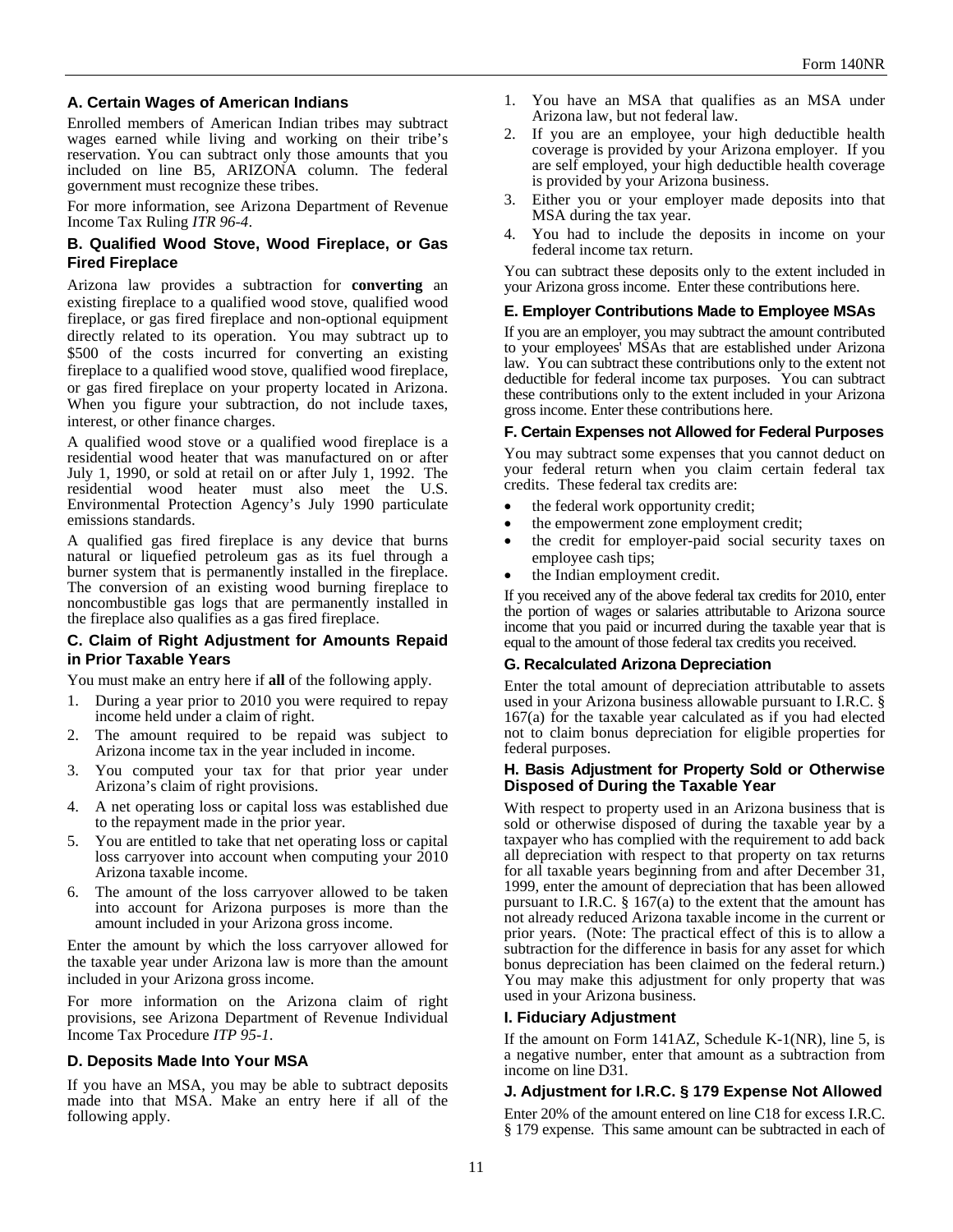### **A. Certain Wages of American Indians**

Enrolled members of American Indian tribes may subtract wages earned while living and working on their tribe's reservation. You can subtract only those amounts that you included on line B5, ARIZONA column. The federal government must recognize these tribes.

For more information, see Arizona Department of Revenue Income Tax Ruling *ITR 96-4*.

### **B. Qualified Wood Stove, Wood Fireplace, or Gas Fired Fireplace**

Arizona law provides a subtraction for **converting** an existing fireplace to a qualified wood stove, qualified wood fireplace, or gas fired fireplace and non-optional equipment directly related to its operation. You may subtract up to \$500 of the costs incurred for converting an existing fireplace to a qualified wood stove, qualified wood fireplace, or gas fired fireplace on your property located in Arizona. When you figure your subtraction, do not include taxes, interest, or other finance charges.

A qualified wood stove or a qualified wood fireplace is a residential wood heater that was manufactured on or after July 1, 1990, or sold at retail on or after July 1, 1992. The residential wood heater must also meet the U.S. Environmental Protection Agency's July 1990 particulate emissions standards.

A qualified gas fired fireplace is any device that burns natural or liquefied petroleum gas as its fuel through a burner system that is permanently installed in the fireplace. The conversion of an existing wood burning fireplace to noncombustible gas logs that are permanently installed in the fireplace also qualifies as a gas fired fireplace.

#### **C. Claim of Right Adjustment for Amounts Repaid in Prior Taxable Years**

You must make an entry here if **all** of the following apply.

- 1. During a year prior to 2010 you were required to repay income held under a claim of right.
- 2. The amount required to be repaid was subject to Arizona income tax in the year included in income.
- 3. You computed your tax for that prior year under Arizona's claim of right provisions.
- 4. A net operating loss or capital loss was established due to the repayment made in the prior year.
- 5. You are entitled to take that net operating loss or capital loss carryover into account when computing your 2010 Arizona taxable income.
- 6. The amount of the loss carryover allowed to be taken into account for Arizona purposes is more than the amount included in your Arizona gross income.

Enter the amount by which the loss carryover allowed for the taxable year under Arizona law is more than the amount included in your Arizona gross income.

For more information on the Arizona claim of right provisions, see Arizona Department of Revenue Individual Income Tax Procedure *ITP 95-1*.

#### **D. Deposits Made Into Your MSA**

If you have an MSA, you may be able to subtract deposits made into that MSA. Make an entry here if all of the following apply.

- 1. You have an MSA that qualifies as an MSA under Arizona law, but not federal law.
- 2. If you are an employee, your high deductible health coverage is provided by your Arizona employer. If you are self employed, your high deductible health coverage is provided by your Arizona business.
- 3. Either you or your employer made deposits into that MSA during the tax year.
- 4. You had to include the deposits in income on your federal income tax return.

You can subtract these deposits only to the extent included in your Arizona gross income. Enter these contributions here.

#### **E. Employer Contributions Made to Employee MSAs**

If you are an employer, you may subtract the amount contributed to your employees' MSAs that are established under Arizona law. You can subtract these contributions only to the extent not deductible for federal income tax purposes. You can subtract these contributions only to the extent included in your Arizona gross income. Enter these contributions here.

#### **F. Certain Expenses not Allowed for Federal Purposes**

You may subtract some expenses that you cannot deduct on your federal return when you claim certain federal tax credits. These federal tax credits are:

- the federal work opportunity credit;
- the empowerment zone employment credit;
- the credit for employer-paid social security taxes on employee cash tips;
- the Indian employment credit.

If you received any of the above federal tax credits for 2010, enter the portion of wages or salaries attributable to Arizona source income that you paid or incurred during the taxable year that is equal to the amount of those federal tax credits you received.

#### **G. Recalculated Arizona Depreciation**

Enter the total amount of depreciation attributable to assets used in your Arizona business allowable pursuant to I.R.C. § 167(a) for the taxable year calculated as if you had elected not to claim bonus depreciation for eligible properties for federal purposes.

#### **H. Basis Adjustment for Property Sold or Otherwise Disposed of During the Taxable Year**

With respect to property used in an Arizona business that is sold or otherwise disposed of during the taxable year by a taxpayer who has complied with the requirement to add back all depreciation with respect to that property on tax returns for all taxable years beginning from and after December 31, 1999, enter the amount of depreciation that has been allowed pursuant to I.R.C.  $\S$  167(a) to the extent that the amount has not already reduced Arizona taxable income in the current or prior years. (Note: The practical effect of this is to allow a subtraction for the difference in basis for any asset for which bonus depreciation has been claimed on the federal return.) You may make this adjustment for only property that was used in your Arizona business.

#### **I. Fiduciary Adjustment**

If the amount on Form 141AZ, Schedule K-1(NR), line 5, is a negative number, enter that amount as a subtraction from income on line D31.

#### **J. Adjustment for I.R.C. § 179 Expense Not Allowed**

Enter 20% of the amount entered on line C18 for excess I.R.C. § 179 expense. This same amount can be subtracted in each of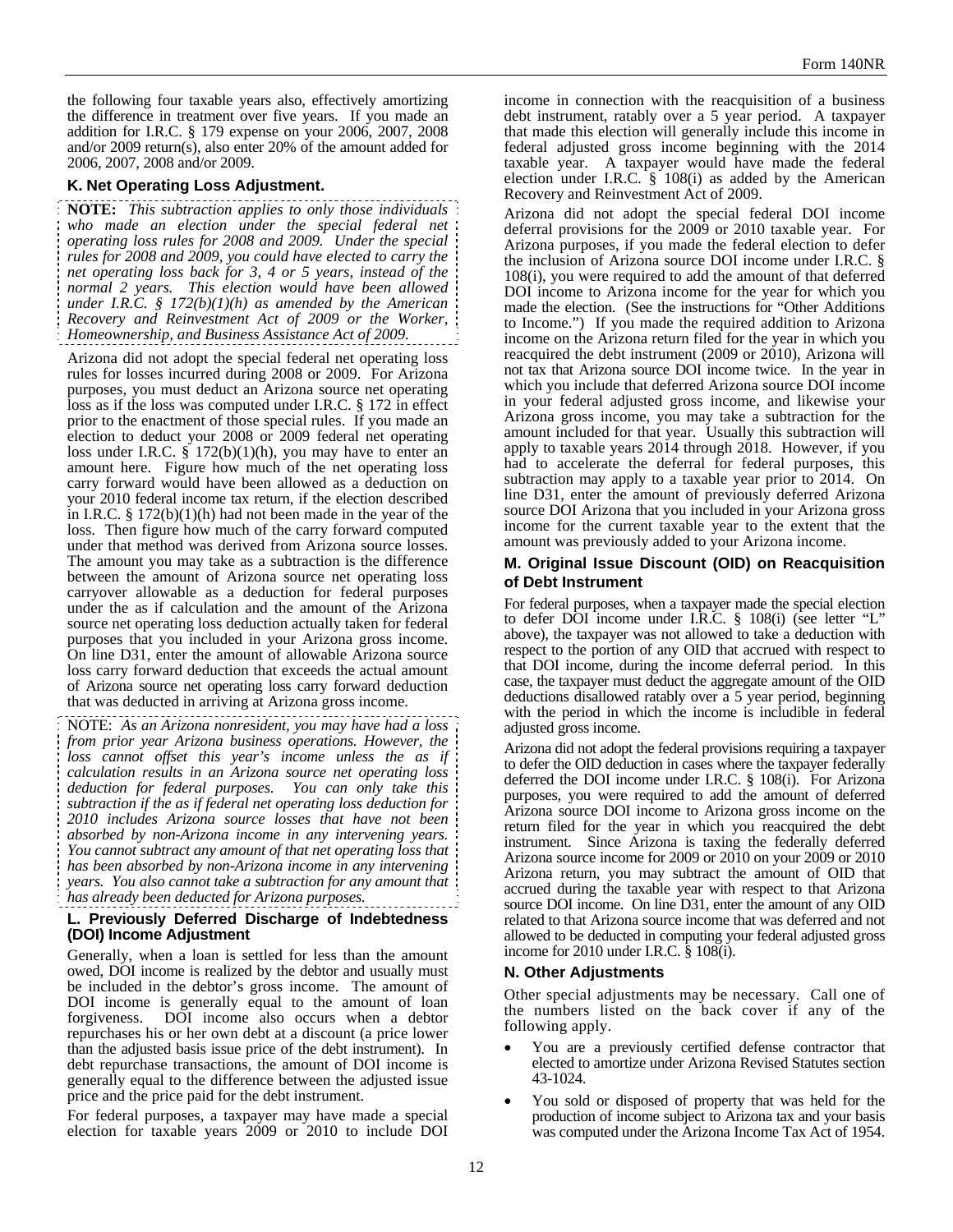the following four taxable years also, effectively amortizing the difference in treatment over five years. If you made an addition for I.R.C. § 179 expense on your 2006, 2007, 2008 and/or 2009 return(s), also enter 20% of the amount added for 2006, 2007, 2008 and/or 2009.

### **K. Net Operating Loss Adjustment.**

**NOTE:** *This subtraction applies to only those individuals who made an election under the special federal net operating loss rules for 2008 and 2009. Under the special rules for 2008 and 2009, you could have elected to carry the net operating loss back for 3, 4 or 5 years, instead of the normal 2 years. This election would have been allowed under I.R.C. § 172(b)(1)(h) as amended by the American Recovery and Reinvestment Act of 2009 or the Worker, Homeownership, and Business Assistance Act of 2009.* 

Arizona did not adopt the special federal net operating loss rules for losses incurred during 2008 or 2009. For Arizona purposes, you must deduct an Arizona source net operating loss as if the loss was computed under I.R.C. § 172 in effect prior to the enactment of those special rules. If you made an election to deduct your 2008 or 2009 federal net operating loss under I.R.C.  $\S$  172(b)(1)(h), you may have to enter an amount here. Figure how much of the net operating loss carry forward would have been allowed as a deduction on your 2010 federal income tax return, if the election described in I.R.C.  $\S 172(b)(1)(h)$  had not been made in the year of the loss. Then figure how much of the carry forward computed under that method was derived from Arizona source losses. The amount you may take as a subtraction is the difference between the amount of Arizona source net operating loss carryover allowable as a deduction for federal purposes under the as if calculation and the amount of the Arizona source net operating loss deduction actually taken for federal purposes that you included in your Arizona gross income. On line D31, enter the amount of allowable Arizona source loss carry forward deduction that exceeds the actual amount of Arizona source net operating loss carry forward deduction that was deducted in arriving at Arizona gross income.

NOTE: *As an Arizona nonresident, you may have had a loss from prior year Arizona business operations. However, the*  loss cannot offset this year's income unless the as if *calculation results in an Arizona source net operating loss deduction for federal purposes. You can only take this subtraction if the as if federal net operating loss deduction for 2010 includes Arizona source losses that have not been absorbed by non-Arizona income in any intervening years. You cannot subtract any amount of that net operating loss that has been absorbed by non-Arizona income in any intervening years. You also cannot take a subtraction for any amount that has already been deducted for Arizona purposes.* 

#### **L. Previously Deferred Discharge of Indebtedness (DOI) Income Adjustment**

Generally, when a loan is settled for less than the amount owed, DOI income is realized by the debtor and usually must be included in the debtor's gross income. The amount of DOI income is generally equal to the amount of loan forgiveness. DOI income also occurs when a debtor repurchases his or her own debt at a discount (a price lower than the adjusted basis issue price of the debt instrument). In debt repurchase transactions, the amount of DOI income is generally equal to the difference between the adjusted issue price and the price paid for the debt instrument.

For federal purposes, a taxpayer may have made a special election for taxable years 2009 or 2010 to include DOI income in connection with the reacquisition of a business debt instrument, ratably over a 5 year period. A taxpayer that made this election will generally include this income in federal adjusted gross income beginning with the 2014 taxable year. A taxpayer would have made the federal election under I.R.C.  $\frac{1}{9}$  108(i) as added by the American Recovery and Reinvestment Act of 2009.

Arizona did not adopt the special federal DOI income deferral provisions for the 2009 or 2010 taxable year. For Arizona purposes, if you made the federal election to defer the inclusion of Arizona source DOI income under I.R.C. § 108(i), you were required to add the amount of that deferred DOI income to Arizona income for the year for which you made the election. (See the instructions for "Other Additions to Income.") If you made the required addition to Arizona income on the Arizona return filed for the year in which you reacquired the debt instrument (2009 or 2010), Arizona will not tax that Arizona source DOI income twice. In the year in which you include that deferred Arizona source DOI income in your federal adjusted gross income, and likewise your Arizona gross income, you may take a subtraction for the amount included for that year. Usually this subtraction will apply to taxable years 2014 through 2018. However, if you had to accelerate the deferral for federal purposes, this subtraction may apply to a taxable year prior to 2014. On line D31, enter the amount of previously deferred Arizona source DOI Arizona that you included in your Arizona gross income for the current taxable year to the extent that the amount was previously added to your Arizona income.

#### **M. Original Issue Discount (OID) on Reacquisition of Debt Instrument**

For federal purposes, when a taxpayer made the special election to defer DOI income under I.R.C. § 108(i) (see letter "L" above), the taxpayer was not allowed to take a deduction with respect to the portion of any OID that accrued with respect to that DOI income, during the income deferral period. In this case, the taxpayer must deduct the aggregate amount of the OID deductions disallowed ratably over a 5 year period, beginning with the period in which the income is includible in federal adjusted gross income.

Arizona did not adopt the federal provisions requiring a taxpayer to defer the OID deduction in cases where the taxpayer federally deferred the DOI income under I.R.C. § 108(i). For Arizona purposes, you were required to add the amount of deferred Arizona source DOI income to Arizona gross income on the return filed for the year in which you reacquired the debt instrument. Since Arizona is taxing the federally deferred Arizona source income for 2009 or 2010 on your 2009 or 2010 Arizona return, you may subtract the amount of OID that accrued during the taxable year with respect to that Arizona source DOI income. On line D31, enter the amount of any OID related to that Arizona source income that was deferred and not allowed to be deducted in computing your federal adjusted gross income for 2010 under I.R.C. § 108(i).

### **N. Other Adjustments**

Other special adjustments may be necessary. Call one of the numbers listed on the back cover if any of the following apply.

- You are a previously certified defense contractor that elected to amortize under Arizona Revised Statutes section 43-1024.
- You sold or disposed of property that was held for the production of income subject to Arizona tax and your basis was computed under the Arizona Income Tax Act of 1954.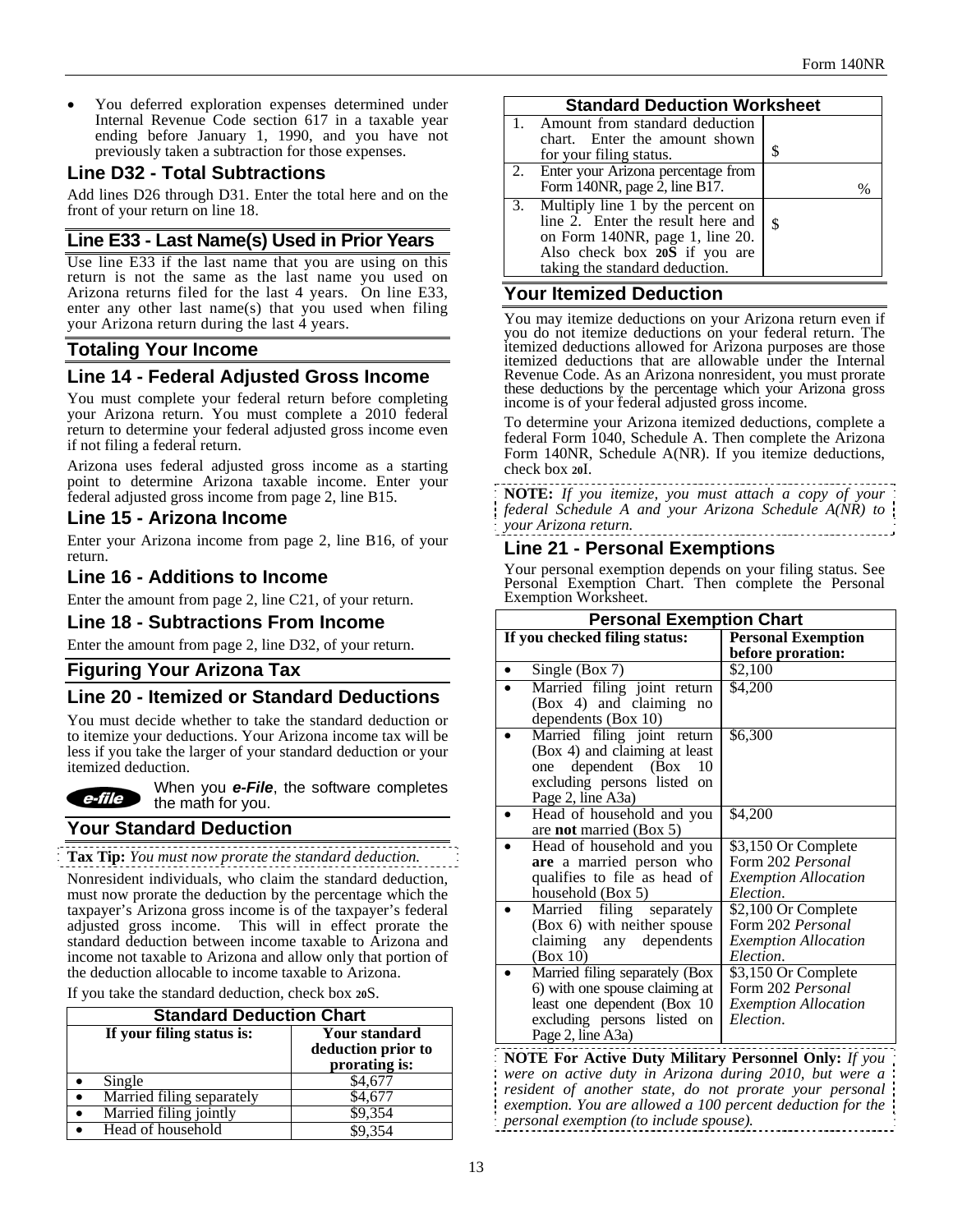You deferred exploration expenses determined under Internal Revenue Code section 617 in a taxable year ending before January 1, 1990, and you have not previously taken a subtraction for those expenses.

### **Line D32 - Total Subtractions**

Add lines D26 through D31. Enter the total here and on the front of your return on line 18.

### **Line E33 - Last Name(s) Used in Prior Years**

Use line E33 if the last name that you are using on this return is not the same as the last name you used on Arizona returns filed for the last 4 years. On line E33, enter any other last name(s) that you used when filing your Arizona return during the last 4 years.

## **Totaling Your Income**

## **Line 14 - Federal Adjusted Gross Income**

You must complete your federal return before completing your Arizona return. You must complete a 2010 federal return to determine your federal adjusted gross income even if not filing a federal return.

Arizona uses federal adjusted gross income as a starting point to determine Arizona taxable income. Enter your federal adjusted gross income from page 2, line B15.

## **Line 15 - Arizona Income**

Enter your Arizona income from page 2, line B16, of your return.

## **Line 16 - Additions to Income**

Enter the amount from page 2, line C21, of your return.

### **Line 18 - Subtractions From Income**

Enter the amount from page 2, line D32, of your return.

### **Figuring Your Arizona Tax**

## **Line 20 - Itemized or Standard Deductions**

You must decide whether to take the standard deduction or to itemize your deductions. Your Arizona income tax will be less if you take the larger of your standard deduction or your itemized deduction.



When you *e-File*, the software completes the math for you.

## **Your Standard Deduction**

**Tax Tip:** *You must now prorate the standard deduction.* 

Nonresident individuals, who claim the standard deduction, must now prorate the deduction by the percentage which the taxpayer's Arizona gross income is of the taxpayer's federal adjusted gross income. This will in effect prorate the standard deduction between income taxable to Arizona and income not taxable to Arizona and allow only that portion of the deduction allocable to income taxable to Arizona.

If you take the standard deduction, check box **20**S.

| <b>Standard Deduction Chart</b> |                           |                                                             |  |
|---------------------------------|---------------------------|-------------------------------------------------------------|--|
| If your filing status is:       |                           | <b>Your standard</b><br>deduction prior to<br>prorating is: |  |
|                                 | Single                    | \$4,677                                                     |  |
| $\bullet$                       | Married filing separately | \$4,677                                                     |  |
| $\bullet$                       | Married filing jointly    | \$9,354                                                     |  |
|                                 | Head of household         | \$9.354                                                     |  |

#### **Standard Deduction Worksheet**

| olandara peduolion monett                                                                                                                                                       |      |  |
|---------------------------------------------------------------------------------------------------------------------------------------------------------------------------------|------|--|
| 1. Amount from standard deduction<br>chart. Enter the amount shown<br>for your filing status.                                                                                   | \$   |  |
| 2. Enter your Arizona percentage from<br>Form 140NR, page $\overline{2}$ , line B17.                                                                                            | $\%$ |  |
| 3. Multiply line 1 by the percent on<br>line 2. Enter the result here and<br>on Form 140NR, page 1, line 20.<br>Also check box 20S if you are<br>taking the standard deduction. | \$   |  |

### **Your Itemized Deduction**

You may itemize deductions on your Arizona return even if you do not itemize deductions on your federal return. The itemized deductions allowed for Arizona purposes are those itemized deductions that are allowable under the Internal Revenue Code. As an Arizona nonresident, you must prorate these deductions by the percentage which your Arizona gross income is of your federal adjusted gross income.

To determine your Arizona itemized deductions, complete a federal Form 1040, Schedule A. Then complete the Arizona Form 140NR, Schedule A(NR). If you itemize deductions, check box **20**I.

**NOTE:** *If you itemize, you must attach a copy of your federal Schedule A and your Arizona Schedule A(NR) to your Arizona return.* 

## **Line 21 - Personal Exemptions**

Your personal exemption depends on your filing status. See Personal Exemption Chart. Then complete the Personal Exemption Worksheet.

| <b>Personal Exemption Chart</b> |                                    |  |
|---------------------------------|------------------------------------|--|
| If you checked filing status:   | <b>Personal Exemption</b>          |  |
|                                 | before proration:                  |  |
| Single (Box 7)                  | \$2,100                            |  |
| Married filing joint return     | \$4,200                            |  |
| (Box 4) and claiming no         |                                    |  |
| dependents (Box 10)             |                                    |  |
| Married filing joint return     | \$6,300                            |  |
| (Box 4) and claiming at least   |                                    |  |
| one dependent (Box 10           |                                    |  |
| excluding persons listed on     |                                    |  |
| Page 2, line A3a)               |                                    |  |
| Head of household and you       | \$4,200                            |  |
| are <b>not</b> married (Box 5)  |                                    |  |
| Head of household and you       | \$3,150 Or Complete                |  |
| are a married person who        | Form 202 Personal                  |  |
| qualifies to file as head of    | <i><b>Exemption Allocation</b></i> |  |
| household (Box 5)               | Election.                          |  |
| Married filing separately       | \$2,100 Or Complete                |  |
| (Box 6) with neither spouse     | Form 202 Personal                  |  |
| claiming any dependents         | <i><b>Exemption Allocation</b></i> |  |
| (Box 10)                        | Election.                          |  |
| Married filing separately (Box  | \$3,150 Or Complete                |  |
| 6) with one spouse claiming at  | Form 202 <i>Personal</i>           |  |
| least one dependent (Box 10     | <b>Exemption Allocation</b>        |  |
| excluding persons listed on     | Election.                          |  |
| Page 2, line A3a)               |                                    |  |

**NOTE For Active Duty Military Personnel Only:** *If you were on active duty in Arizona during 2010, but were a resident of another state, do not prorate your personal exemption. You are allowed a 100 percent deduction for the personal exemption (to include spouse).*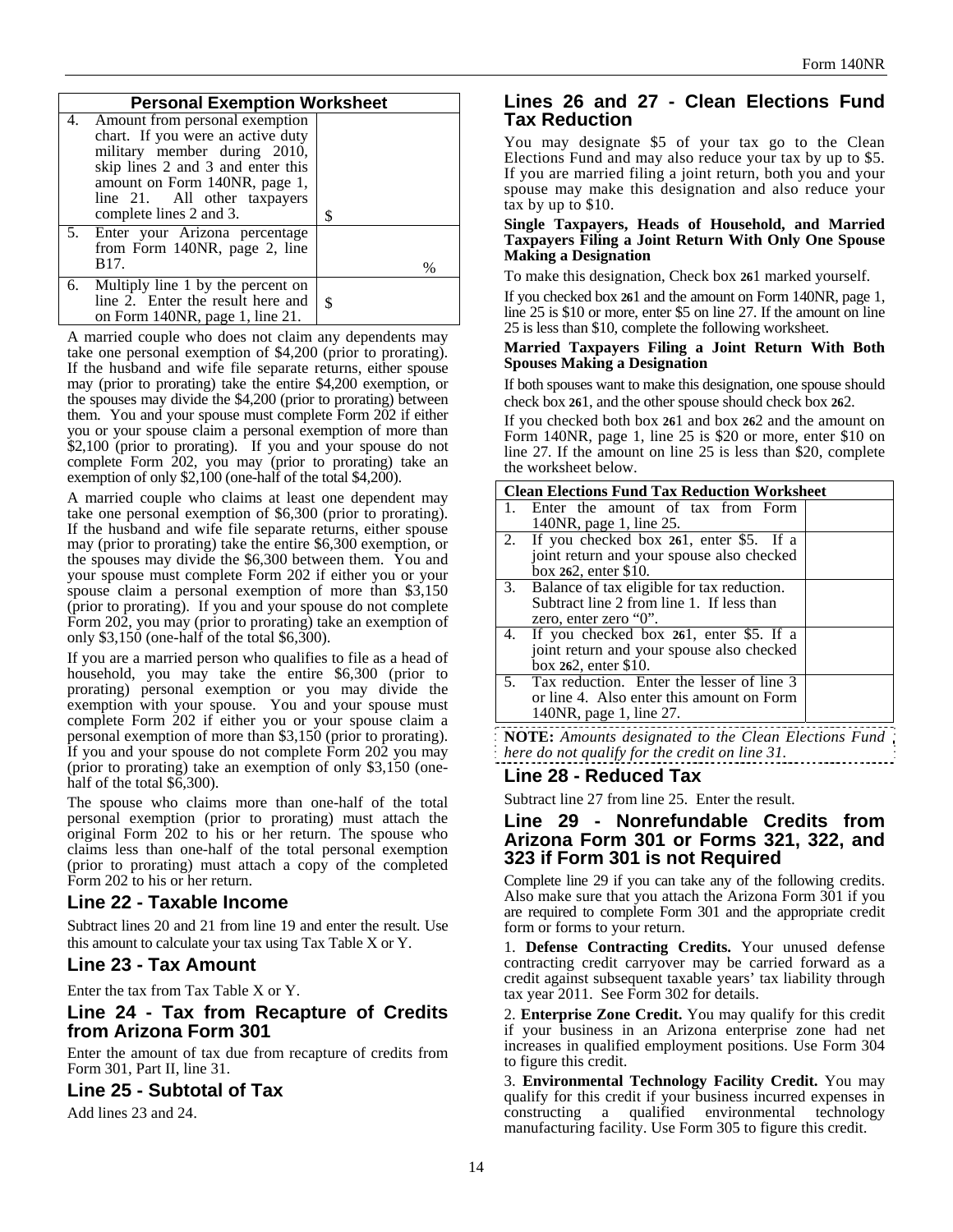| <b>Personal Exemption Worksheet</b>                                                                                                                                                                                                     |      |
|-----------------------------------------------------------------------------------------------------------------------------------------------------------------------------------------------------------------------------------------|------|
| 4. Amount from personal exemption<br>chart. If you were an active duty<br>military member during 2010,<br>skip lines 2 and 3 and enter this<br>amount on Form 140NR, page 1,<br>line 21. All other taxpayers<br>complete lines 2 and 3. | S    |
| 5. Enter your Arizona percentage<br>from Form 140NR, page 2, line<br>B17.                                                                                                                                                               | $\%$ |
| 6. Multiply line 1 by the percent on<br>line 2. Enter the result here and<br>on Form 140NR, page 1, line 21.                                                                                                                            | S    |

A married couple who does not claim any dependents may take one personal exemption of \$4,200 (prior to prorating). If the husband and wife file separate returns, either spouse may (prior to prorating) take the entire \$4,200 exemption, or the spouses may divide the \$4,200 (prior to prorating) between them. You and your spouse must complete Form 202 if either you or your spouse claim a personal exemption of more than \$2,100 (prior to prorating). If you and your spouse do not complete Form 202, you may (prior to prorating) take an exemption of only \$2,100 (one-half of the total \$4,200).

A married couple who claims at least one dependent may take one personal exemption of \$6,300 (prior to prorating). If the husband and wife file separate returns, either spouse may (prior to prorating) take the entire \$6,300 exemption, or the spouses may divide the \$6,300 between them. You and your spouse must complete Form 202 if either you or your spouse claim a personal exemption of more than \$3,150 (prior to prorating). If you and your spouse do not complete Form 202, you may (prior to prorating) take an exemption of only \$3,150 (one-half of the total \$6,300).

If you are a married person who qualifies to file as a head of household, you may take the entire \$6,300 (prior to prorating) personal exemption or you may divide the exemption with your spouse. You and your spouse must complete Form 202 if either you or your spouse claim a personal exemption of more than \$3,150 (prior to prorating). If you and your spouse do not complete Form 202 you may (prior to prorating) take an exemption of only \$3,150 (onehalf of the total \$6,300).

The spouse who claims more than one-half of the total personal exemption (prior to prorating) must attach the original Form 202 to his or her return. The spouse who claims less than one-half of the total personal exemption (prior to prorating) must attach a copy of the completed Form 202 to his or her return.

### **Line 22 - Taxable Income**

Subtract lines 20 and 21 from line 19 and enter the result. Use this amount to calculate your tax using Tax Table X or Y.

### **Line 23 - Tax Amount**

Enter the tax from Tax Table X or Y.

## **Line 24 - Tax from Recapture of Credits from Arizona Form 301**

Enter the amount of tax due from recapture of credits from Form 301, Part II, line 31.

## **Line 25 - Subtotal of Tax**

Add lines 23 and 24.

### **Lines 26 and 27 - Clean Elections Fund Tax Reduction**

You may designate \$5 of your tax go to the Clean Elections Fund and may also reduce your tax by up to \$5. If you are married filing a joint return, both you and your spouse may make this designation and also reduce your tax by up to \$10.

#### **Single Taxpayers, Heads of Household, and Married Taxpayers Filing a Joint Return With Only One Spouse Making a Designation**

To make this designation, Check box **26**1 marked yourself.

If you checked box **26**1 and the amount on Form 140NR, page 1, line 25 is \$10 or more, enter \$5 on line 27. If the amount on line 25 is less than \$10, complete the following worksheet.

#### **Married Taxpayers Filing a Joint Return With Both Spouses Making a Designation**

If both spouses want to make this designation, one spouse should check box **26**1, and the other spouse should check box **26**2.

If you checked both box **26**1 and box **26**2 and the amount on Form 140NR, page 1, line 25 is \$20 or more, enter \$10 on line 27. If the amount on line 25 is less than \$20, complete the worksheet below.

| <b>Clean Elections Fund Tax Reduction Worksheet</b> |  |  |
|-----------------------------------------------------|--|--|
| Enter the amount of tax from Form                   |  |  |
| 140NR, page 1, line 25.                             |  |  |
| 2. If you checked box 261, enter \$5. If a          |  |  |
| joint return and your spouse also checked           |  |  |
| box 262, enter \$10.                                |  |  |
| 3. Balance of tax eligible for tax reduction.       |  |  |
| Subtract line 2 from line 1. If less than           |  |  |
| zero, enter zero " $0$ ".                           |  |  |
| 4. If you checked box 261, enter \$5. If a          |  |  |
| joint return and your spouse also checked           |  |  |
| box 262, enter \$10.                                |  |  |
| 5. Tax reduction. Enter the lesser of line 3        |  |  |
| or line 4. Also enter this amount on Form           |  |  |
| 140NR, page 1, line 27.                             |  |  |
| $\sim$ $\sim$ $\sim$                                |  |  |

**NOTE:** *Amounts designated to the Clean Elections Fund here do not qualify for the credit on line 31.*

## **Line 28 - Reduced Tax**

Subtract line 27 from line 25. Enter the result.

## **Line 29 - Nonrefundable Credits from Arizona Form 301 or Forms 321, 322, and 323 if Form 301 is not Required**

Complete line 29 if you can take any of the following credits. Also make sure that you attach the Arizona Form 301 if you are required to complete Form 301 and the appropriate credit form or forms to your return.

1. **Defense Contracting Credits.** Your unused defense contracting credit carryover may be carried forward as a credit against subsequent taxable years' tax liability through tax year 2011. See Form 302 for details.

2. **Enterprise Zone Credit.** You may qualify for this credit if your business in an Arizona enterprise zone had net increases in qualified employment positions. Use Form 304 to figure this credit.

3. **Environmental Technology Facility Credit.** You may qualify for this credit if your business incurred expenses in constructing a qualified environmental technology manufacturing facility. Use Form 305 to figure this credit.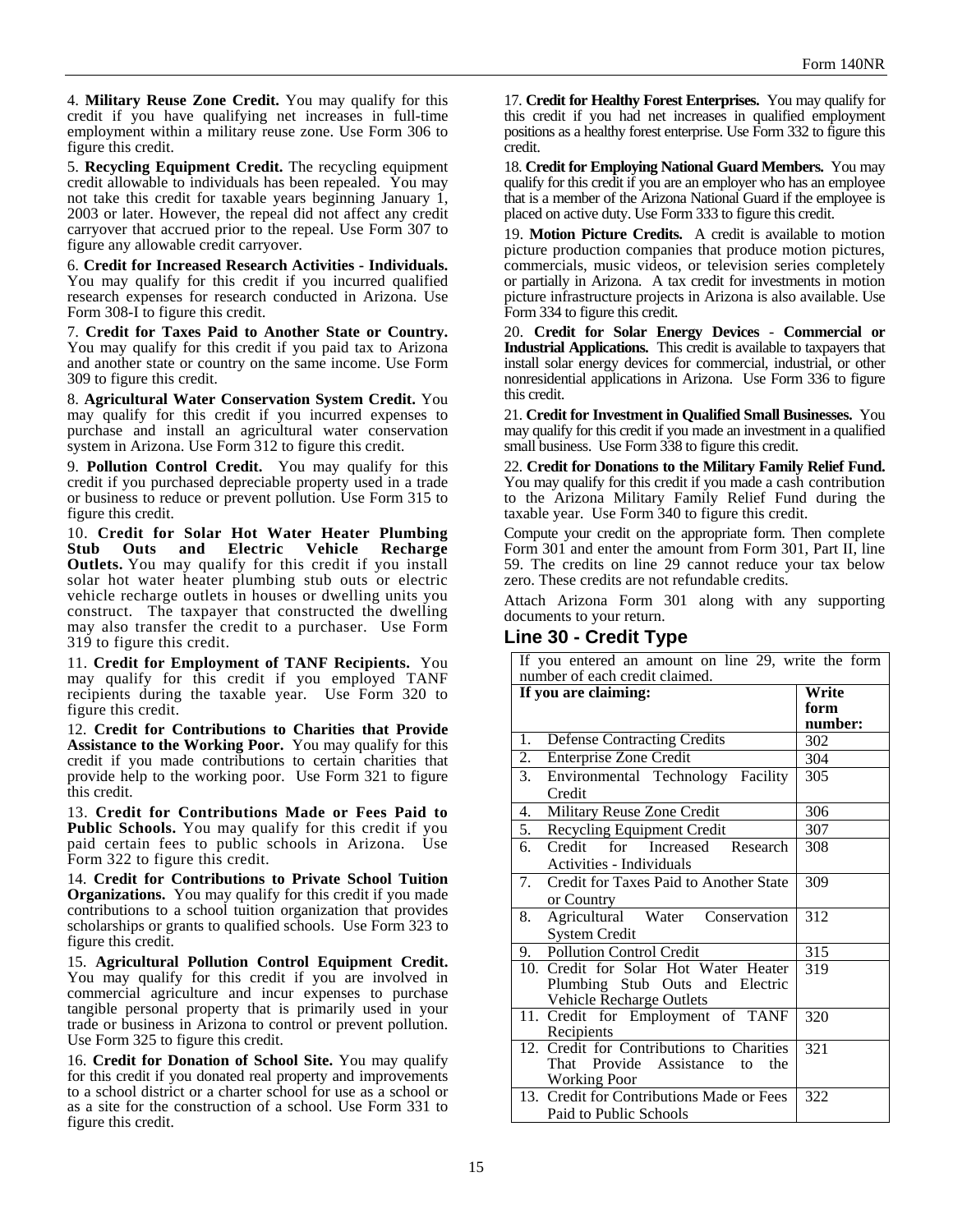4. **Military Reuse Zone Credit.** You may qualify for this credit if you have qualifying net increases in full-time employment within a military reuse zone. Use Form 306 to figure this credit.

5. **Recycling Equipment Credit.** The recycling equipment credit allowable to individuals has been repealed. You may not take this credit for taxable years beginning January 1, 2003 or later. However, the repeal did not affect any credit carryover that accrued prior to the repeal. Use Form 307 to figure any allowable credit carryover.

6. **Credit for Increased Research Activities - Individuals.** You may qualify for this credit if you incurred qualified research expenses for research conducted in Arizona. Use Form 308-I to figure this credit.

7. **Credit for Taxes Paid to Another State or Country.**  You may qualify for this credit if you paid tax to Arizona and another state or country on the same income. Use Form 309 to figure this credit.

8. **Agricultural Water Conservation System Credit.** You may qualify for this credit if you incurred expenses to purchase and install an agricultural water conservation system in Arizona. Use Form 312 to figure this credit.

9. **Pollution Control Credit.** You may qualify for this credit if you purchased depreciable property used in a trade or business to reduce or prevent pollution. Use Form 315 to figure this credit.

10. **Credit for Solar Hot Water Heater Plumbing Stub Outs and Electric Vehicle Recharge Outlets.** You may qualify for this credit if you install solar hot water heater plumbing stub outs or electric vehicle recharge outlets in houses or dwelling units you construct. The taxpayer that constructed the dwelling may also transfer the credit to a purchaser. Use Form 319 to figure this credit.

11. **Credit for Employment of TANF Recipients.** You may qualify for this credit if you employed TANF recipients during the taxable year. Use Form 320 to figure this credit.

12. **Credit for Contributions to Charities that Provide Assistance to the Working Poor.** You may qualify for this credit if you made contributions to certain charities that provide help to the working poor. Use Form 321 to figure this credit.

13. **Credit for Contributions Made or Fees Paid to Public Schools.** You may qualify for this credit if you paid certain fees to public schools in Arizona. Use Form 322 to figure this credit.

14. **Credit for Contributions to Private School Tuition Organizations.** You may qualify for this credit if you made contributions to a school tuition organization that provides scholarships or grants to qualified schools. Use Form 323 to figure this credit.

15. **Agricultural Pollution Control Equipment Credit.**  You may qualify for this credit if you are involved in commercial agriculture and incur expenses to purchase tangible personal property that is primarily used in your trade or business in Arizona to control or prevent pollution. Use Form 325 to figure this credit.

16. **Credit for Donation of School Site.** You may qualify for this credit if you donated real property and improvements to a school district or a charter school for use as a school or as a site for the construction of a school. Use Form 331 to figure this credit.

17. **Credit for Healthy Forest Enterprises.** You may qualify for this credit if you had net increases in qualified employment positions as a healthy forest enterprise. Use Form 332 to figure this credit.

18. **Credit for Employing National Guard Members.** You may qualify for this credit if you are an employer who has an employee that is a member of the Arizona National Guard if the employee is placed on active duty. Use Form 333 to figure this credit.

19. **Motion Picture Credits.** A credit is available to motion picture production companies that produce motion pictures, commercials, music videos, or television series completely or partially in Arizona. A tax credit for investments in motion picture infrastructure projects in Arizona is also available. Use Form 334 to figure this credit.

20. **Credit for Solar Energy Devices** - **Commercial or Industrial Applications.** This credit is available to taxpayers that install solar energy devices for commercial, industrial, or other nonresidential applications in Arizona. Use Form 336 to figure this credit.

21. **Credit for Investment in Qualified Small Businesses.** You may qualify for this credit if you made an investment in a qualified small business. Use Form 338 to figure this credit.

22. **Credit for Donations to the Military Family Relief Fund.** You may qualify for this credit if you made a cash contribution to the Arizona Military Family Relief Fund during the taxable year. Use Form 340 to figure this credit.

Compute your credit on the appropriate form. Then complete Form 301 and enter the amount from Form 301, Part II, line 59. The credits on line 29 cannot reduce your tax below zero. These credits are not refundable credits.

Attach Arizona Form 301 along with any supporting documents to your return.

### **Line 30 - Credit Type**

| If you entered an amount on line 29, write the form |         |  |
|-----------------------------------------------------|---------|--|
| number of each credit claimed.                      |         |  |
| If you are claiming:                                | Write   |  |
|                                                     | form    |  |
|                                                     | number: |  |
| <b>Defense Contracting Credits</b><br>1.            | 302     |  |
| $\overline{2.}$<br><b>Enterprise Zone Credit</b>    | 304     |  |
| 3.<br>Environmental Technology Facility             | 305     |  |
| Credit                                              |         |  |
| Military Reuse Zone Credit<br>4.                    | 306     |  |
| 5. Recycling Equipment Credit                       | 307     |  |
| 6.<br>Credit for Increased Research                 | 308     |  |
| Activities - Individuals                            |         |  |
| 7.<br>Credit for Taxes Paid to Another State        | 309     |  |
| or Country                                          |         |  |
| Agricultural Water Conservation<br>8.               | 312     |  |
| <b>System Credit</b>                                |         |  |
| 9. Pollution Control Credit                         | 315     |  |
| 10. Credit for Solar Hot Water Heater               | 319     |  |
| Plumbing Stub Outs and Electric                     |         |  |
| <b>Vehicle Recharge Outlets</b>                     |         |  |
| 11. Credit for Employment of TANF                   | 320     |  |
| Recipients                                          |         |  |
| 12. Credit for Contributions to Charities           | 321     |  |
| Provide Assistance to<br>the<br>That                |         |  |
| <b>Working Poor</b>                                 |         |  |
| 13. Credit for Contributions Made or Fees           | 322     |  |
| Paid to Public Schools                              |         |  |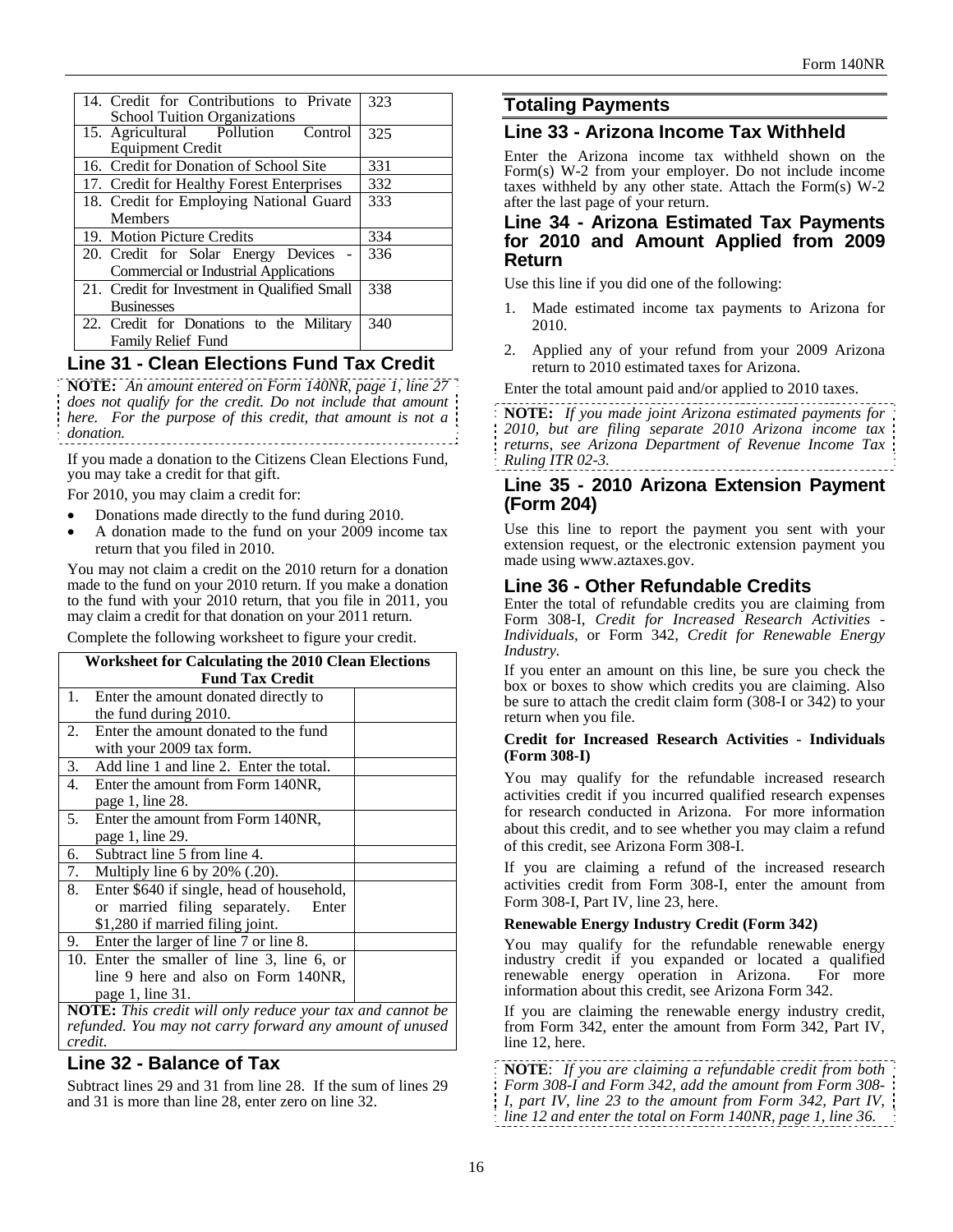| 14. Credit for Contributions to Private<br><b>School Tuition Organizations</b>        | 323 |
|---------------------------------------------------------------------------------------|-----|
| 15. Agricultural Pollution Control<br><b>Equipment Credit</b>                         | 325 |
| 16. Credit for Donation of School Site                                                | 331 |
| 17. Credit for Healthy Forest Enterprises                                             | 332 |
| 18. Credit for Employing National Guard                                               | 333 |
| <b>Members</b>                                                                        |     |
| 19. Motion Picture Credits                                                            | 334 |
| 20. Credit for Solar Energy Devices -<br><b>Commercial or Industrial Applications</b> | 336 |
| 21. Credit for Investment in Qualified Small                                          | 338 |
| <b>Businesses</b>                                                                     |     |
| 22. Credit for Donations to the Military<br><b>Family Relief Fund</b>                 | 340 |

## **Line 31 - Clean Elections Fund Tax Credit**

**NOTE:** *An amount entered on Form 140NR, page 1, line 27 does not qualify for the credit. Do not include that amount here. For the purpose of this credit, that amount is not a donation.*

If you made a donation to the Citizens Clean Elections Fund, you may take a credit for that gift.

For 2010, you may claim a credit for:

- Donations made directly to the fund during 2010.
- A donation made to the fund on your 2009 income tax return that you filed in 2010.

You may not claim a credit on the 2010 return for a donation made to the fund on your 2010 return. If you make a donation to the fund with your 2010 return, that you file in 2011, you may claim a credit for that donation on your 2011 return.

Complete the following worksheet to figure your credit.

| <b>Worksheet for Calculating the 2010 Clean Elections</b> |                                                                  |  |  |
|-----------------------------------------------------------|------------------------------------------------------------------|--|--|
|                                                           | <b>Fund Tax Credit</b>                                           |  |  |
| 1.                                                        | Enter the amount donated directly to                             |  |  |
|                                                           | the fund during 2010.                                            |  |  |
| 2.                                                        | Enter the amount donated to the fund                             |  |  |
|                                                           | with your 2009 tax form.                                         |  |  |
| 3.                                                        | Add line 1 and line 2. Enter the total.                          |  |  |
| 4.                                                        | Enter the amount from Form 140NR,                                |  |  |
|                                                           | page 1, line 28.                                                 |  |  |
| 5.                                                        | Enter the amount from Form 140NR,                                |  |  |
|                                                           | page 1, line 29.                                                 |  |  |
| 6.                                                        | Subtract line 5 from line 4.                                     |  |  |
| 7.                                                        | Multiply line 6 by 20% (.20).                                    |  |  |
| 8.                                                        | Enter \$640 if single, head of household,                        |  |  |
|                                                           | or married filing separately.<br>Enter                           |  |  |
|                                                           | \$1,280 if married filing joint.                                 |  |  |
|                                                           | 9. Enter the larger of line 7 or line 8.                         |  |  |
|                                                           | 10. Enter the smaller of line 3, line 6, or                      |  |  |
|                                                           | line 9 here and also on Form 140NR,                              |  |  |
|                                                           | page 1, line 31.                                                 |  |  |
|                                                           | <b>NOTE:</b> This credit will only reduce your tax and cannot be |  |  |

Ints credit will only reduce your tax and cannot be *refunded. You may not carry forward any amount of unused credit.*

# **Line 32 - Balance of Tax**

Subtract lines 29 and 31 from line 28. If the sum of lines 29 and 31 is more than line 28, enter zero on line 32.

## **Totaling Payments**

### **Line 33 - Arizona Income Tax Withheld**

Enter the Arizona income tax withheld shown on the Form(s) W-2 from your employer. Do not include income taxes withheld by any other state. Attach the Form(s) W-2 after the last page of your return.

### **Line 34 - Arizona Estimated Tax Payments for 2010 and Amount Applied from 2009 Return**

Use this line if you did one of the following:

- 1. Made estimated income tax payments to Arizona for 2010.
- 2. Applied any of your refund from your 2009 Arizona return to 2010 estimated taxes for Arizona.

Enter the total amount paid and/or applied to 2010 taxes.

**NOTE:** *If you made joint Arizona estimated payments for 2010, but are filing separate 2010 Arizona income tax returns, see Arizona Department of Revenue Income Tax Ruling ITR 02-3.*

## **Line 35 - 2010 Arizona Extension Payment (Form 204)**

Use this line to report the payment you sent with your extension request, or the electronic extension payment you made using www.aztaxes.gov.

### **Line 36 - Other Refundable Credits**

Enter the total of refundable credits you are claiming from Form 308-I, *Credit for Increased Research Activities - Individuals*, or Form 342, *Credit for Renewable Energy Industry.*

If you enter an amount on this line, be sure you check the box or boxes to show which credits you are claiming. Also be sure to attach the credit claim form (308-I or 342) to your return when you file.

#### **Credit for Increased Research Activities - Individuals (Form 308-I)**

You may qualify for the refundable increased research activities credit if you incurred qualified research expenses for research conducted in Arizona. For more information about this credit, and to see whether you may claim a refund of this credit, see Arizona Form 308-I.

If you are claiming a refund of the increased research activities credit from Form 308-I, enter the amount from Form 308-I, Part IV, line 23, here.

#### **Renewable Energy Industry Credit (Form 342)**

You may qualify for the refundable renewable energy industry credit if you expanded or located a qualified renewable energy operation in Arizona. For more information about this credit, see Arizona Form 342.

If you are claiming the renewable energy industry credit, from Form 342, enter the amount from Form 342, Part IV, line 12, here.

**NOTE**: *If you are claiming a refundable credit from both Form 308-I and Form 342, add the amount from Form 308- I, part IV, line 23 to the amount from Form 342, Part IV, line 12 and enter the total on Form 140NR, page 1, line 36.*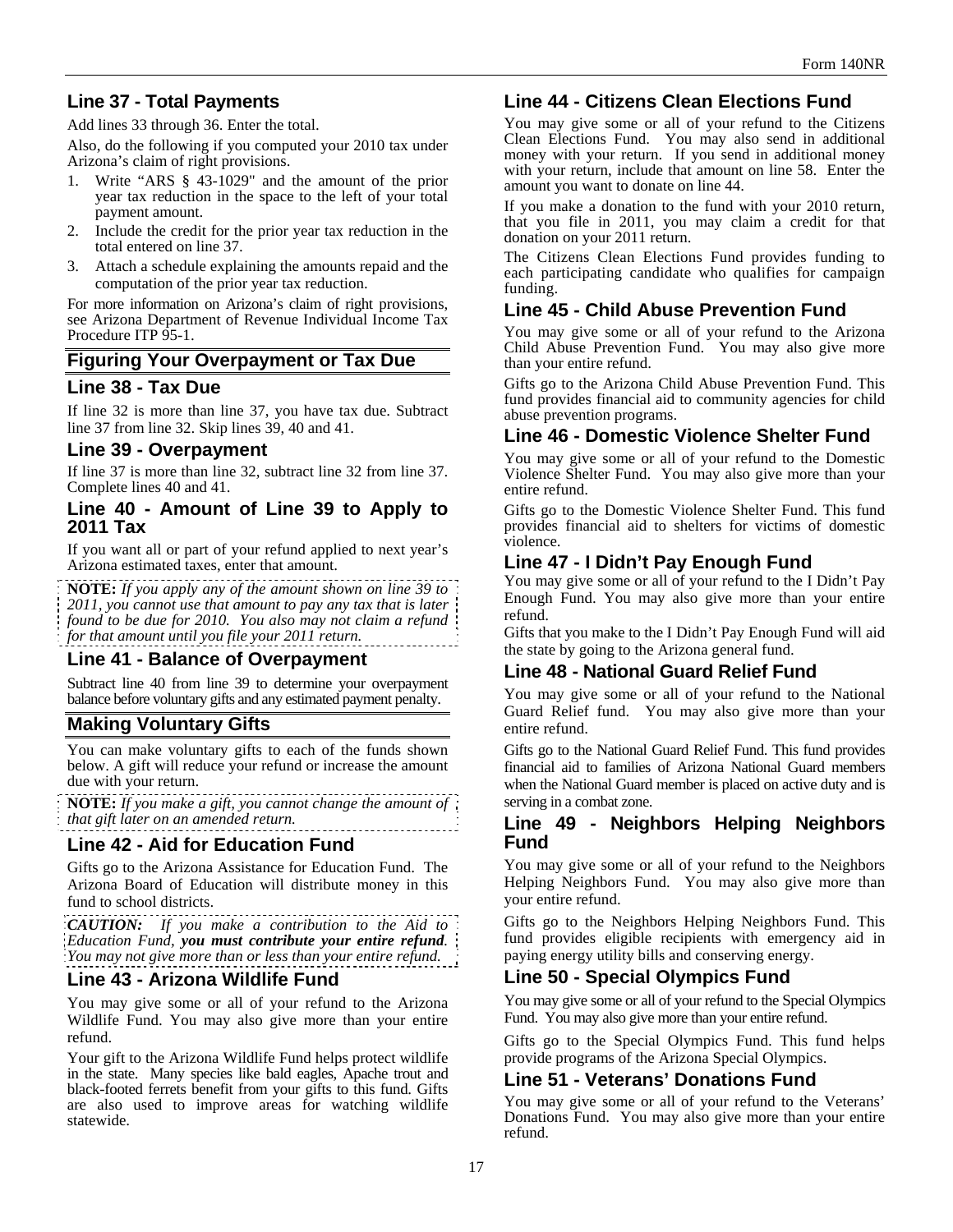# **Line 37 - Total Payments**

Add lines 33 through 36. Enter the total.

Also, do the following if you computed your 2010 tax under Arizona's claim of right provisions.

- 1. Write "ARS § 43-1029" and the amount of the prior year tax reduction in the space to the left of your total payment amount.
- 2. Include the credit for the prior year tax reduction in the total entered on line 37.
- 3. Attach a schedule explaining the amounts repaid and the computation of the prior year tax reduction.

For more information on Arizona's claim of right provisions, see Arizona Department of Revenue Individual Income Tax Procedure ITP 95-1.

## **Figuring Your Overpayment or Tax Due**

### **Line 38 - Tax Due**

If line 32 is more than line 37, you have tax due. Subtract line 37 from line 32. Skip lines 39, 40 and 41.

### **Line 39 - Overpayment**

If line 37 is more than line 32, subtract line 32 from line 37. Complete lines 40 and 41.

### **Line 40 - Amount of Line 39 to Apply to 2011 Tax**

If you want all or part of your refund applied to next year's Arizona estimated taxes, enter that amount.

**NOTE:** *If you apply any of the amount shown on line 39 to 2011, you cannot use that amount to pay any tax that is later found to be due for 2010. You also may not claim a refund for that amount until you file your 2011 return.*

### **Line 41 - Balance of Overpayment**

Subtract line 40 from line 39 to determine your overpayment balance before voluntary gifts and any estimated payment penalty.

## **Making Voluntary Gifts**

You can make voluntary gifts to each of the funds shown below. A gift will reduce your refund or increase the amount due with your return.

**NOTE:** *If you make a gift, you cannot change the amount of that gift later on an amended return.*

## **Line 42 - Aid for Education Fund**

Gifts go to the Arizona Assistance for Education Fund. The Arizona Board of Education will distribute money in this fund to school districts.

*CAUTION: If you make a contribution to the Aid to Education Fund, you must contribute your entire refund. You may not give more than or less than your entire refund.* 

### **Line 43 - Arizona Wildlife Fund**

You may give some or all of your refund to the Arizona Wildlife Fund. You may also give more than your entire refund.

Your gift to the Arizona Wildlife Fund helps protect wildlife in the state. Many species like bald eagles, Apache trout and black-footed ferrets benefit from your gifts to this fund. Gifts are also used to improve areas for watching wildlife statewide.

## **Line 44 - Citizens Clean Elections Fund**

You may give some or all of your refund to the Citizens Clean Elections Fund. You may also send in additional money with your return. If you send in additional money with your return, include that amount on line 58. Enter the amount you want to donate on line 44.

If you make a donation to the fund with your 2010 return, that you file in 2011, you may claim a credit for that donation on your 2011 return.

The Citizens Clean Elections Fund provides funding to each participating candidate who qualifies for campaign funding.

## **Line 45 - Child Abuse Prevention Fund**

You may give some or all of your refund to the Arizona Child Abuse Prevention Fund. You may also give more than your entire refund.

Gifts go to the Arizona Child Abuse Prevention Fund. This fund provides financial aid to community agencies for child abuse prevention programs.

## **Line 46 - Domestic Violence Shelter Fund**

You may give some or all of your refund to the Domestic Violence Shelter Fund. You may also give more than your entire refund.

Gifts go to the Domestic Violence Shelter Fund. This fund provides financial aid to shelters for victims of domestic violence.

## **Line 47 - I Didn't Pay Enough Fund**

You may give some or all of your refund to the I Didn't Pay Enough Fund. You may also give more than your entire refund.

Gifts that you make to the I Didn't Pay Enough Fund will aid the state by going to the Arizona general fund.

### **Line 48 - National Guard Relief Fund**

You may give some or all of your refund to the National Guard Relief fund. You may also give more than your entire refund.

Gifts go to the National Guard Relief Fund. This fund provides financial aid to families of Arizona National Guard members when the National Guard member is placed on active duty and is serving in a combat zone.

### **Line 49 - Neighbors Helping Neighbors Fund**

You may give some or all of your refund to the Neighbors Helping Neighbors Fund. You may also give more than your entire refund.

Gifts go to the Neighbors Helping Neighbors Fund. This fund provides eligible recipients with emergency aid in paying energy utility bills and conserving energy.

### **Line 50 - Special Olympics Fund**

You may give some or all of your refund to the Special Olympics Fund. You may also give more than your entire refund.

Gifts go to the Special Olympics Fund. This fund helps provide programs of the Arizona Special Olympics.

### **Line 51 - Veterans' Donations Fund**

You may give some or all of your refund to the Veterans' Donations Fund. You may also give more than your entire refund.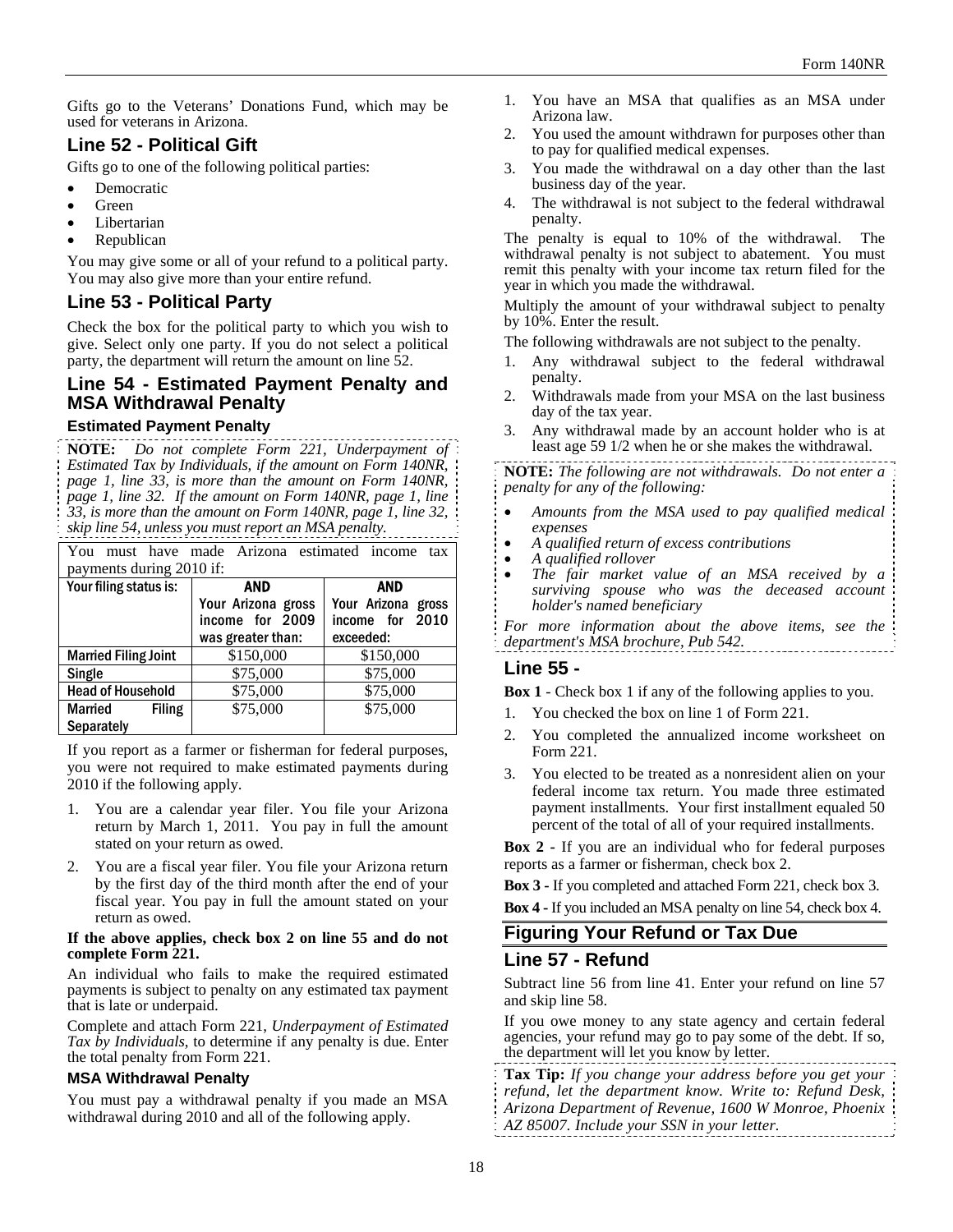Gifts go to the Veterans' Donations Fund, which may be used for veterans in Arizona.

# **Line 52 - Political Gift**

Gifts go to one of the following political parties:

- Democratic
- Green
- Libertarian
- Republican

You may give some or all of your refund to a political party. You may also give more than your entire refund.

## **Line 53 - Political Party**

Check the box for the political party to which you wish to give. Select only one party. If you do not select a political party, the department will return the amount on line 52.

# **Line 54 - Estimated Payment Penalty and MSA Withdrawal Penalty**

### **Estimated Payment Penalty**

**NOTE:** *Do not complete Form 221, Underpayment of Estimated Tax by Individuals, if the amount on Form 140NR, page 1, line 33, is more than the amount on Form 140NR, page 1, line 32. If the amount on Form 140NR, page 1, line 33, is more than the amount on Form 140NR, page 1, line 32, skip line 54, unless you must report an MSA penalty.*

| You                         | must have made Arizona estimated income | tax                |
|-----------------------------|-----------------------------------------|--------------------|
| payments during 2010 if:    |                                         |                    |
| Your filing status is:      | AND                                     | <b>AND</b>         |
|                             | Your Arizona gross                      | Your Arizona gross |
|                             | income for 2009                         | income for 2010    |
|                             | was greater than:                       | exceeded:          |
| <b>Married Filing Joint</b> | \$150,000                               | \$150,000          |
| Single                      | \$75,000                                | \$75,000           |
| <b>Head of Household</b>    | \$75,000                                | \$75,000           |
| Married<br><b>Filing</b>    | \$75,000                                | \$75,000           |
| <b>Separately</b>           |                                         |                    |

If you report as a farmer or fisherman for federal purposes, you were not required to make estimated payments during 2010 if the following apply.

- 1. You are a calendar year filer. You file your Arizona return by March 1, 2011. You pay in full the amount stated on your return as owed.
- 2. You are a fiscal year filer. You file your Arizona return by the first day of the third month after the end of your fiscal year. You pay in full the amount stated on your return as owed.

#### **If the above applies, check box 2 on line 55 and do not complete Form 221.**

An individual who fails to make the required estimated payments is subject to penalty on any estimated tax payment that is late or underpaid.

Complete and attach Form 221, *Underpayment of Estimated Tax by Individuals*, to determine if any penalty is due. Enter the total penalty from Form 221.

#### **MSA Withdrawal Penalty**

You must pay a withdrawal penalty if you made an MSA withdrawal during 2010 and all of the following apply.

- 1. You have an MSA that qualifies as an MSA under Arizona law.
- 2. You used the amount withdrawn for purposes other than to pay for qualified medical expenses.
- 3. You made the withdrawal on a day other than the last business day of the year.
- 4. The withdrawal is not subject to the federal withdrawal penalty.

The penalty is equal to 10% of the withdrawal. The withdrawal penalty is not subject to abatement. You must remit this penalty with your income tax return filed for the year in which you made the withdrawal.

Multiply the amount of your withdrawal subject to penalty by 10%. Enter the result.

The following withdrawals are not subject to the penalty.

- 1. Any withdrawal subject to the federal withdrawal penalty.
- 2. Withdrawals made from your MSA on the last business day of the tax year.
- 3. Any withdrawal made by an account holder who is at least age 59 1/2 when he or she makes the withdrawal.

**NOTE:** *The following are not withdrawals. Do not enter a penalty for any of the following:* 

- *Amounts from the MSA used to pay qualified medical expenses*
- *A qualified return of excess contributions*
- *A qualified rollover*
- *The fair market value of an MSA received by a surviving spouse who was the deceased account holder's named beneficiary*

*For more information about the above items, see the department's MSA brochure, Pub 542.* 

### **Line 55 -**

**Box 1** - Check box 1 if any of the following applies to you.

- 1. You checked the box on line 1 of Form 221.
- 2. You completed the annualized income worksheet on Form 221.
- 3. You elected to be treated as a nonresident alien on your federal income tax return. You made three estimated payment installments. Your first installment equaled 50 percent of the total of all of your required installments.

**Box 2 -** If you are an individual who for federal purposes reports as a farmer or fisherman, check box 2.

**Box 3 -** If you completed and attached Form 221, check box 3. **Box 4 -** If you included an MSA penalty on line 54, check box 4.

## **Figuring Your Refund or Tax Due**

### **Line 57 - Refund**

Subtract line 56 from line 41. Enter your refund on line 57 and skip line 58.

If you owe money to any state agency and certain federal agencies, your refund may go to pay some of the debt. If so, the department will let you know by letter.

- **Tax Tip:** *If you change your address before you get your*
- *refund, let the department know. Write to: Refund Desk,*

*Arizona Department of Revenue, 1600 W Monroe, Phoenix* 

*AZ 85007. Include your SSN in your letter.*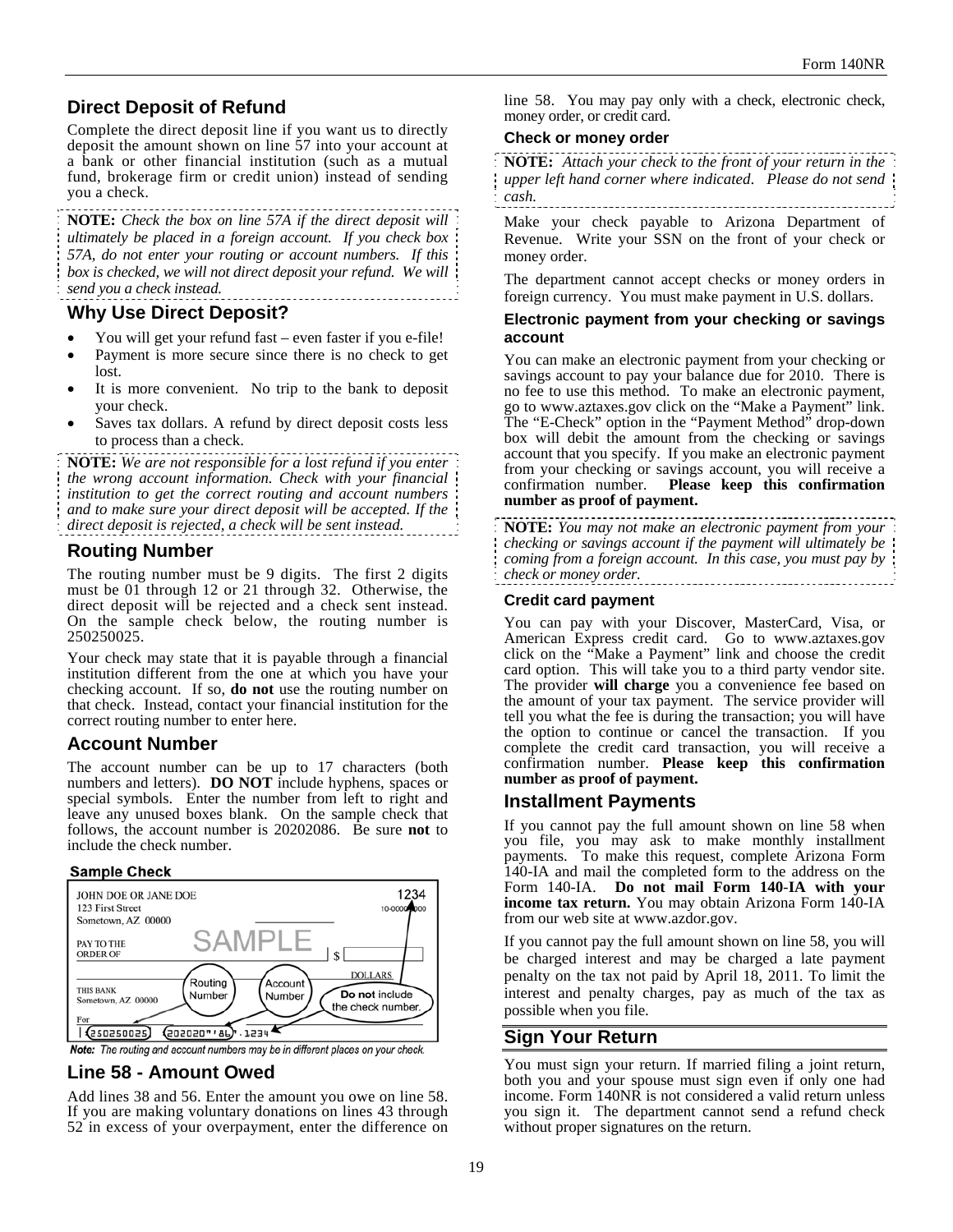# **Direct Deposit of Refund**

Complete the direct deposit line if you want us to directly deposit the amount shown on line 57 into your account at a bank or other financial institution (such as a mutual fund, brokerage firm or credit union) instead of sending you a check.

**NOTE:** *Check the box on line 57A if the direct deposit will ultimately be placed in a foreign account. If you check box 57A, do not enter your routing or account numbers. If this box is checked, we will not direct deposit your refund. We will send you a check instead.* 

## **Why Use Direct Deposit?**

- You will get your refund fast even faster if you e-file!
- Payment is more secure since there is no check to get lost.
- It is more convenient. No trip to the bank to deposit your check.
- Saves tax dollars. A refund by direct deposit costs less to process than a check.

**NOTE:** *We are not responsible for a lost refund if you enter the wrong account information. Check with your financial institution to get the correct routing and account numbers and to make sure your direct deposit will be accepted. If the direct deposit is rejected, a check will be sent instead.*

## **Routing Number**

The routing number must be 9 digits. The first 2 digits must be 01 through 12 or 21 through 32. Otherwise, the direct deposit will be rejected and a check sent instead. On the sample check below, the routing number is 250250025.

Your check may state that it is payable through a financial institution different from the one at which you have your checking account. If so, **do not** use the routing number on that check. Instead, contact your financial institution for the correct routing number to enter here.

## **Account Number**

The account number can be up to 17 characters (both numbers and letters). **DO NOT** include hyphens, spaces or special symbols. Enter the number from left to right and leave any unused boxes blank. On the sample check that follows, the account number is 20202086. Be sure **not** to include the check number.

#### **Sample Check**



Note: The routing and account numbers may be in different places on your check.

### **Line 58 - Amount Owed**

Add lines 38 and 56. Enter the amount you owe on line 58. If you are making voluntary donations on lines 43 through 52 in excess of your overpayment, enter the difference on line 58.You may pay only with a check, electronic check, money order, or credit card.

#### **Check or money order**

**NOTE:** *Attach your check to the front of your return in the upper left hand corner where indicated*. *Please do not send cash.*

Make your check payable to Arizona Department of Revenue. Write your SSN on the front of your check or money order.

The department cannot accept checks or money orders in foreign currency. You must make payment in U.S. dollars.

#### **Electronic payment from your checking or savings account**

You can make an electronic payment from your checking or savings account to pay your balance due for 2010. There is no fee to use this method. To make an electronic payment, go to www.aztaxes.gov click on the "Make a Payment" link. The "E-Check" option in the "Payment Method" drop-down box will debit the amount from the checking or savings account that you specify. If you make an electronic payment from your checking or savings account, you will receive a confirmation number. Please keep this confirmation Please keep this confirmation **number as proof of payment.** 

**NOTE:** *You may not make an electronic payment from your checking or savings account if the payment will ultimately be coming from a foreign account. In this case, you must pay by check or money order.* 

### **Credit card payment**

You can pay with your Discover, MasterCard, Visa, or American Express credit card. Go to www.aztaxes.gov click on the "Make a Payment" link and choose the credit card option. This will take you to a third party vendor site. The provider **will charge** you a convenience fee based on the amount of your tax payment. The service provider will tell you what the fee is during the transaction; you will have the option to continue or cancel the transaction. If you complete the credit card transaction, you will receive a confirmation number. **Please keep this confirmation number as proof of payment.**

## **Installment Payments**

If you cannot pay the full amount shown on line 58 when you file, you may ask to make monthly installment payments. To make this request, complete Arizona Form 140-IA and mail the completed form to the address on the Form 140-IA. **Do not mail Form 140**-**IA with your income tax return.** You may obtain Arizona Form 140-IA from our web site at www.azdor.gov.

If you cannot pay the full amount shown on line 58, you will be charged interest and may be charged a late payment penalty on the tax not paid by April 18, 2011. To limit the interest and penalty charges, pay as much of the tax as possible when you file.

## **Sign Your Return**

You must sign your return. If married filing a joint return, both you and your spouse must sign even if only one had income. Form 140NR is not considered a valid return unless you sign it. The department cannot send a refund check without proper signatures on the return.